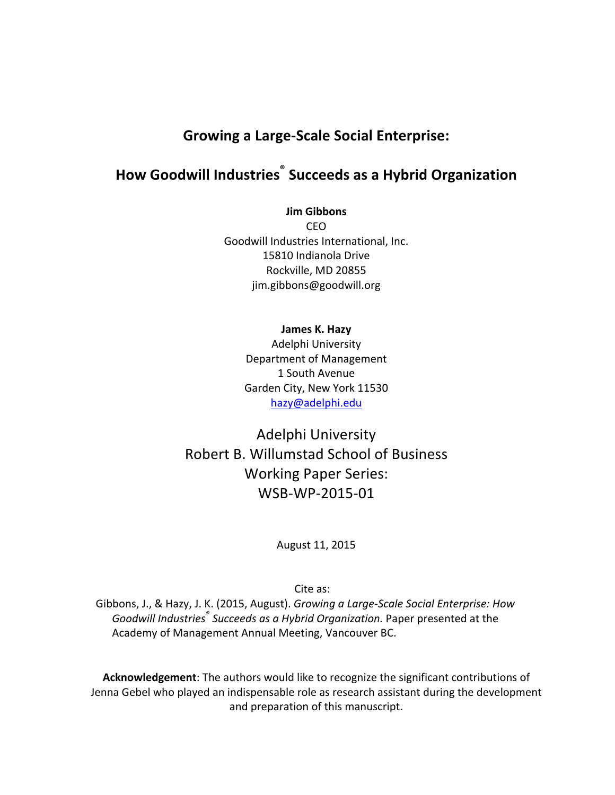# **Growing a Large-Scale Social Enterprise:**

# **How Goodwill Industries® Succeeds as a Hybrid Organization**

## **Jim Gibbons**

CEO Goodwill Industries International, Inc. 15810 Indianola Drive Rockville, MD 20855 jim.gibbons@goodwill.org

## **James K. Hazy**

Adelphi University Department of Management 1 South Avenue Garden City, New York 11530 hazy@adelphi.edu

# Adelphi University Robert B. Willumstad School of Business Working Paper Series: WSB-WP-2015-01

August 11, 2015

Cite as:

Gibbons, J., & Hazy, J. K. (2015, August). *Growing a Large-Scale Social Enterprise: How Goodwill Industries*<sup>®</sup> *Succeeds as a Hybrid Organization.* Paper presented at the Academy of Management Annual Meeting, Vancouver BC.

Acknowledgement: The authors would like to recognize the significant contributions of Jenna Gebel who played an indispensable role as research assistant during the development and preparation of this manuscript.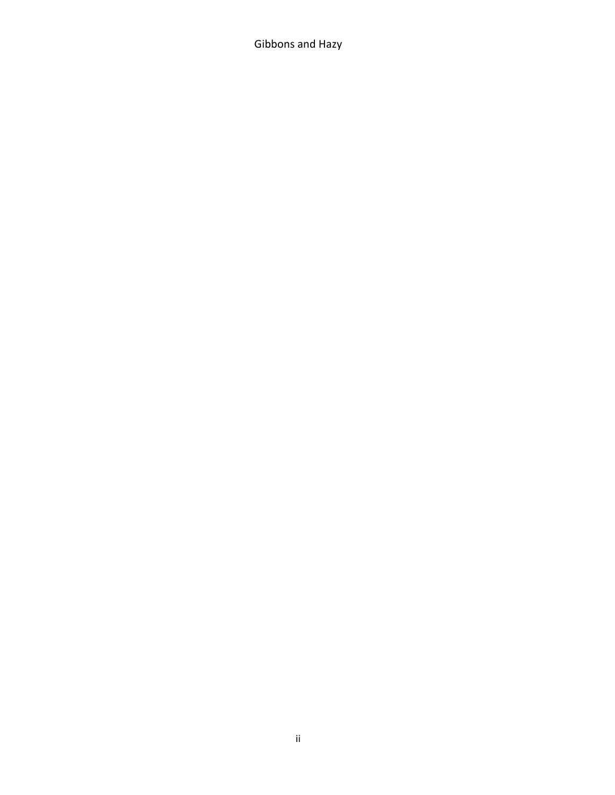Gibbons and Hazy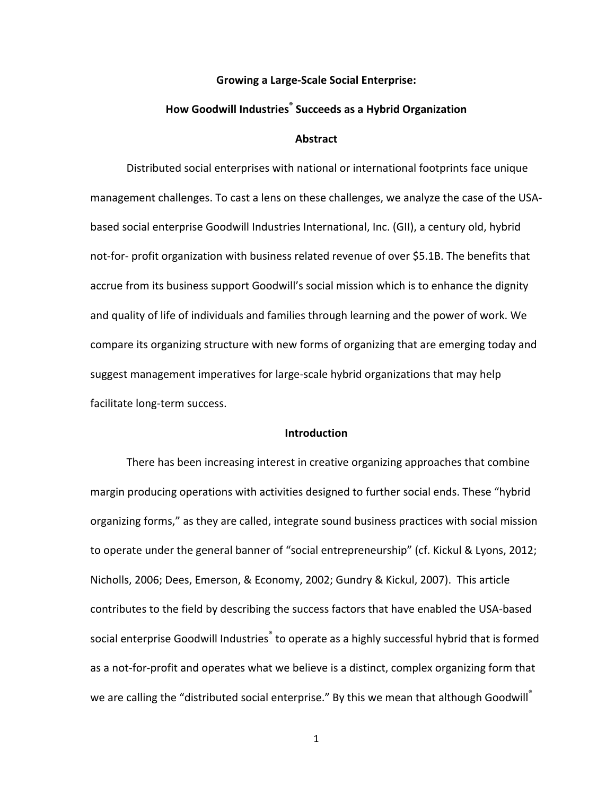#### **Growing a Large-Scale Social Enterprise:**

#### **How Goodwill Industries® Succeeds as a Hybrid Organization**

## **Abstract**

Distributed social enterprises with national or international footprints face unique management challenges. To cast a lens on these challenges, we analyze the case of the USAbased social enterprise Goodwill Industries International, Inc. (GII), a century old, hybrid not-for- profit organization with business related revenue of over \$5.1B. The benefits that accrue from its business support Goodwill's social mission which is to enhance the dignity and quality of life of individuals and families through learning and the power of work. We compare its organizing structure with new forms of organizing that are emerging today and suggest management imperatives for large-scale hybrid organizations that may help facilitate long-term success.

#### **Introduction**

There has been increasing interest in creative organizing approaches that combine margin producing operations with activities designed to further social ends. These "hybrid organizing forms," as they are called, integrate sound business practices with social mission to operate under the general banner of "social entrepreneurship" (cf. Kickul & Lyons, 2012; Nicholls, 2006; Dees, Emerson, & Economy, 2002; Gundry & Kickul, 2007). This article contributes to the field by describing the success factors that have enabled the USA-based social enterprise Goodwill Industries<sup>®</sup> to operate as a highly successful hybrid that is formed as a not-for-profit and operates what we believe is a distinct, complex organizing form that we are calling the "distributed social enterprise." By this we mean that although Goodwill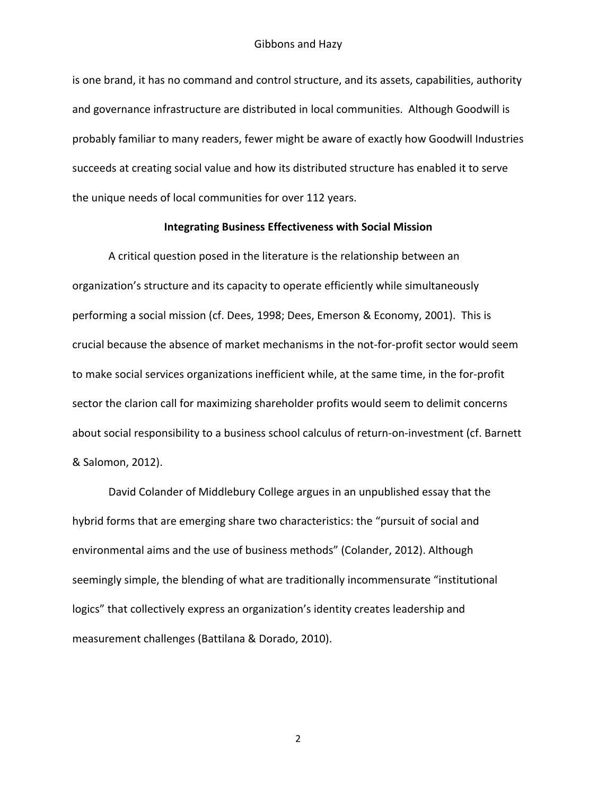is one brand, it has no command and control structure, and its assets, capabilities, authority and governance infrastructure are distributed in local communities. Although Goodwill is probably familiar to many readers, fewer might be aware of exactly how Goodwill Industries succeeds at creating social value and how its distributed structure has enabled it to serve the unique needs of local communities for over 112 years.

## **Integrating Business Effectiveness with Social Mission**

A critical question posed in the literature is the relationship between an organization's structure and its capacity to operate efficiently while simultaneously performing a social mission (cf. Dees, 1998; Dees, Emerson & Economy, 2001). This is crucial because the absence of market mechanisms in the not-for-profit sector would seem to make social services organizations inefficient while, at the same time, in the for-profit sector the clarion call for maximizing shareholder profits would seem to delimit concerns about social responsibility to a business school calculus of return-on-investment (cf. Barnett & Salomon, 2012).

David Colander of Middlebury College argues in an unpublished essay that the hybrid forms that are emerging share two characteristics: the "pursuit of social and environmental aims and the use of business methods" (Colander, 2012). Although seemingly simple, the blending of what are traditionally incommensurate "institutional logics" that collectively express an organization's identity creates leadership and measurement challenges (Battilana & Dorado, 2010).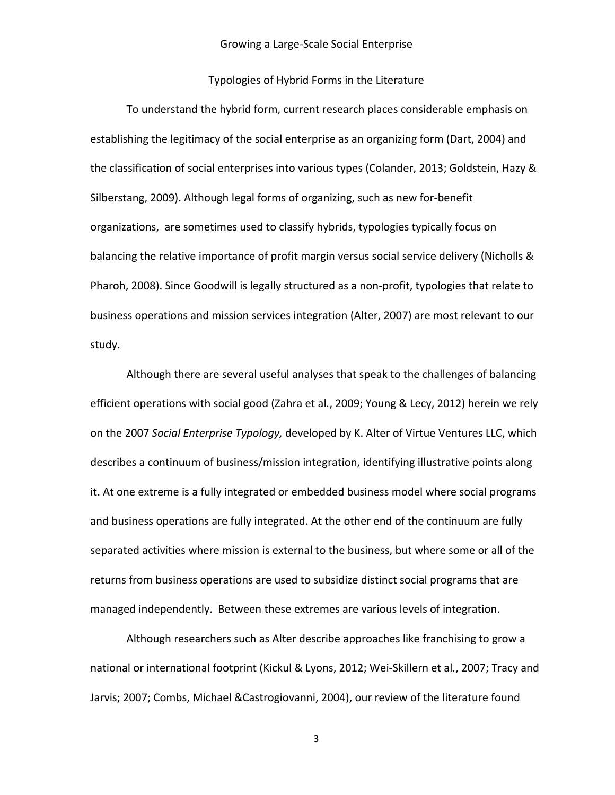## Typologies of Hybrid Forms in the Literature

To understand the hybrid form, current research places considerable emphasis on establishing the legitimacy of the social enterprise as an organizing form (Dart, 2004) and the classification of social enterprises into various types (Colander, 2013; Goldstein, Hazy & Silberstang, 2009). Although legal forms of organizing, such as new for-benefit organizations, are sometimes used to classify hybrids, typologies typically focus on balancing the relative importance of profit margin versus social service delivery (Nicholls & Pharoh, 2008). Since Goodwill is legally structured as a non-profit, typologies that relate to business operations and mission services integration (Alter, 2007) are most relevant to our study.

Although there are several useful analyses that speak to the challenges of balancing efficient operations with social good (Zahra et al., 2009; Young & Lecy, 2012) herein we rely on the 2007 Social Enterprise Typology, developed by K. Alter of Virtue Ventures LLC, which describes a continuum of business/mission integration, identifying illustrative points along it. At one extreme is a fully integrated or embedded business model where social programs and business operations are fully integrated. At the other end of the continuum are fully separated activities where mission is external to the business, but where some or all of the returns from business operations are used to subsidize distinct social programs that are managed independently. Between these extremes are various levels of integration.

Although researchers such as Alter describe approaches like franchising to grow a national or international footprint (Kickul & Lyons, 2012; Wei-Skillern et al., 2007; Tracy and Jarvis; 2007; Combs, Michael &Castrogiovanni, 2004), our review of the literature found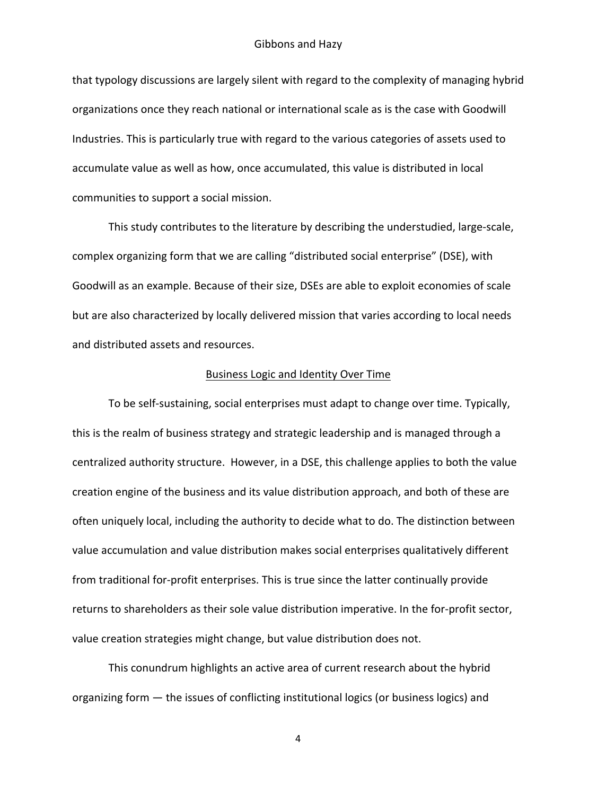that typology discussions are largely silent with regard to the complexity of managing hybrid organizations once they reach national or international scale as is the case with Goodwill Industries. This is particularly true with regard to the various categories of assets used to accumulate value as well as how, once accumulated, this value is distributed in local communities to support a social mission.

This study contributes to the literature by describing the understudied, large-scale, complex organizing form that we are calling "distributed social enterprise" (DSE), with Goodwill as an example. Because of their size, DSEs are able to exploit economies of scale but are also characterized by locally delivered mission that varies according to local needs and distributed assets and resources.

#### Business Logic and Identity Over Time

To be self-sustaining, social enterprises must adapt to change over time. Typically, this is the realm of business strategy and strategic leadership and is managed through a centralized authority structure. However, in a DSE, this challenge applies to both the value creation engine of the business and its value distribution approach, and both of these are often uniquely local, including the authority to decide what to do. The distinction between value accumulation and value distribution makes social enterprises qualitatively different from traditional for-profit enterprises. This is true since the latter continually provide returns to shareholders as their sole value distribution imperative. In the for-profit sector, value creation strategies might change, but value distribution does not.

This conundrum highlights an active area of current research about the hybrid organizing form  $-$  the issues of conflicting institutional logics (or business logics) and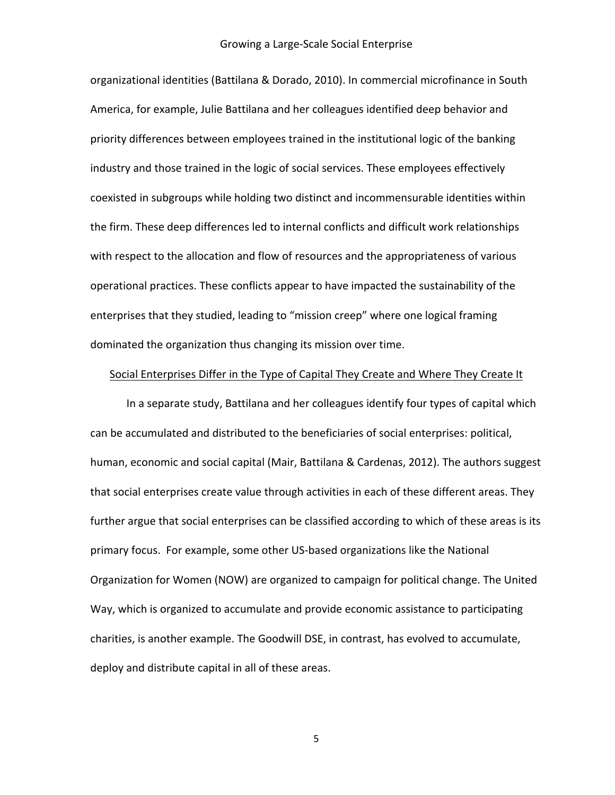## Growing a Large-Scale Social Enterprise

organizational identities (Battilana & Dorado, 2010). In commercial microfinance in South America, for example, Julie Battilana and her colleagues identified deep behavior and priority differences between employees trained in the institutional logic of the banking industry and those trained in the logic of social services. These employees effectively coexisted in subgroups while holding two distinct and incommensurable identities within the firm. These deep differences led to internal conflicts and difficult work relationships with respect to the allocation and flow of resources and the appropriateness of various operational practices. These conflicts appear to have impacted the sustainability of the enterprises that they studied, leading to "mission creep" where one logical framing dominated the organization thus changing its mission over time.

#### Social Enterprises Differ in the Type of Capital They Create and Where They Create It

In a separate study, Battilana and her colleagues identify four types of capital which can be accumulated and distributed to the beneficiaries of social enterprises: political, human, economic and social capital (Mair, Battilana & Cardenas, 2012). The authors suggest that social enterprises create value through activities in each of these different areas. They further argue that social enterprises can be classified according to which of these areas is its primary focus. For example, some other US-based organizations like the National Organization for Women (NOW) are organized to campaign for political change. The United Way, which is organized to accumulate and provide economic assistance to participating charities, is another example. The Goodwill DSE, in contrast, has evolved to accumulate, deploy and distribute capital in all of these areas.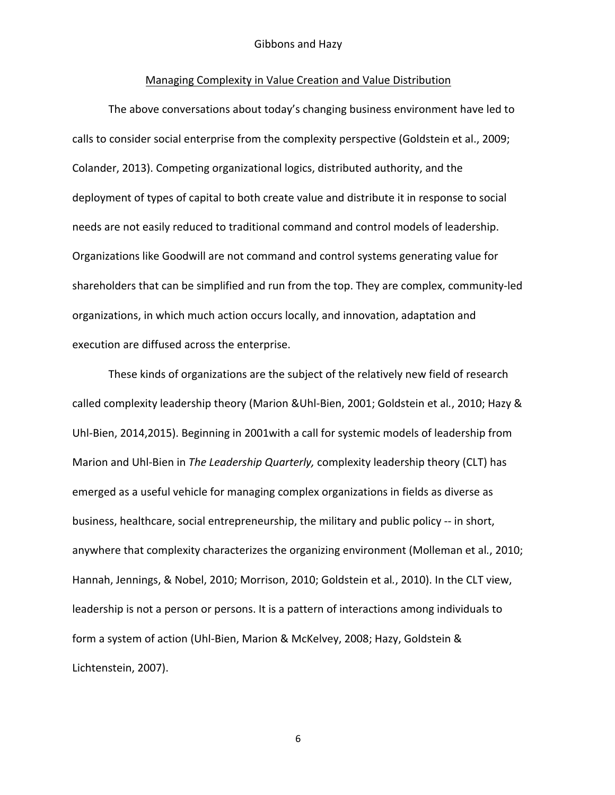#### Managing Complexity in Value Creation and Value Distribution

The above conversations about today's changing business environment have led to calls to consider social enterprise from the complexity perspective (Goldstein et al., 2009; Colander, 2013). Competing organizational logics, distributed authority, and the deployment of types of capital to both create value and distribute it in response to social needs are not easily reduced to traditional command and control models of leadership. Organizations like Goodwill are not command and control systems generating value for shareholders that can be simplified and run from the top. They are complex, community-led organizations, in which much action occurs locally, and innovation, adaptation and execution are diffused across the enterprise.

These kinds of organizations are the subject of the relatively new field of research called complexity leadership theory (Marion &Uhl-Bien, 2001; Goldstein et al., 2010; Hazy & Uhl-Bien, 2014,2015). Beginning in 2001with a call for systemic models of leadership from Marion and Uhl-Bien in *The Leadership Quarterly,* complexity leadership theory (CLT) has emerged as a useful vehicle for managing complex organizations in fields as diverse as business, healthcare, social entrepreneurship, the military and public policy -- in short, anywhere that complexity characterizes the organizing environment (Molleman et al., 2010; Hannah, Jennings, & Nobel, 2010; Morrison, 2010; Goldstein et al., 2010). In the CLT view, leadership is not a person or persons. It is a pattern of interactions among individuals to form a system of action (Uhl-Bien, Marion & McKelvey, 2008; Hazy, Goldstein & Lichtenstein, 2007).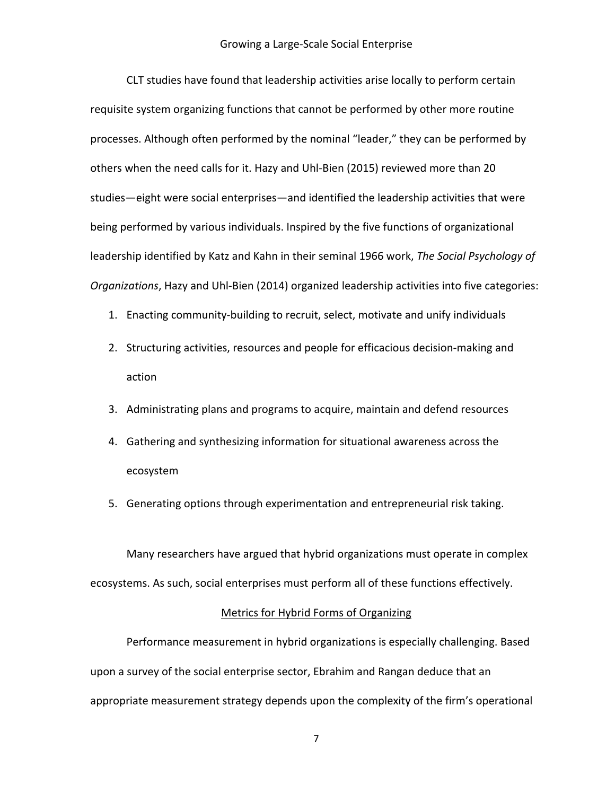## Growing a Large-Scale Social Enterprise

CLT studies have found that leadership activities arise locally to perform certain requisite system organizing functions that cannot be performed by other more routine processes. Although often performed by the nominal "leader," they can be performed by others when the need calls for it. Hazy and Uhl-Bien (2015) reviewed more than 20 studies—eight were social enterprises—and identified the leadership activities that were being performed by various individuals. Inspired by the five functions of organizational leadership identified by Katz and Kahn in their seminal 1966 work, The Social Psychology of *Organizations*, Hazy and Uhl-Bien (2014) organized leadership activities into five categories:

- 1. Enacting community-building to recruit, select, motivate and unify individuals
- 2. Structuring activities, resources and people for efficacious decision-making and action
- 3. Administrating plans and programs to acquire, maintain and defend resources
- 4. Gathering and synthesizing information for situational awareness across the ecosystem
- 5. Generating options through experimentation and entrepreneurial risk taking.

Many researchers have argued that hybrid organizations must operate in complex ecosystems. As such, social enterprises must perform all of these functions effectively.

## Metrics for Hybrid Forms of Organizing

Performance measurement in hybrid organizations is especially challenging. Based upon a survey of the social enterprise sector, Ebrahim and Rangan deduce that an appropriate measurement strategy depends upon the complexity of the firm's operational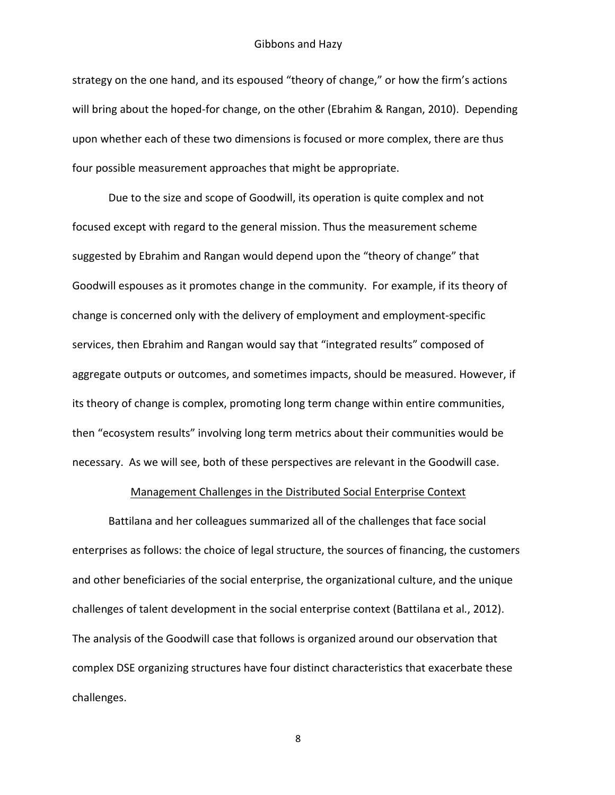#### Gibbons and Hazy

strategy on the one hand, and its espoused "theory of change," or how the firm's actions will bring about the hoped-for change, on the other (Ebrahim & Rangan, 2010). Depending upon whether each of these two dimensions is focused or more complex, there are thus four possible measurement approaches that might be appropriate.

Due to the size and scope of Goodwill, its operation is quite complex and not focused except with regard to the general mission. Thus the measurement scheme suggested by Ebrahim and Rangan would depend upon the "theory of change" that Goodwill espouses as it promotes change in the community. For example, if its theory of change is concerned only with the delivery of employment and employment-specific services, then Ebrahim and Rangan would say that "integrated results" composed of aggregate outputs or outcomes, and sometimes impacts, should be measured. However, if its theory of change is complex, promoting long term change within entire communities, then "ecosystem results" involving long term metrics about their communities would be necessary. As we will see, both of these perspectives are relevant in the Goodwill case.

## Management Challenges in the Distributed Social Enterprise Context

Battilana and her colleagues summarized all of the challenges that face social enterprises as follows: the choice of legal structure, the sources of financing, the customers and other beneficiaries of the social enterprise, the organizational culture, and the unique challenges of talent development in the social enterprise context (Battilana et al., 2012). The analysis of the Goodwill case that follows is organized around our observation that complex DSE organizing structures have four distinct characteristics that exacerbate these challenges.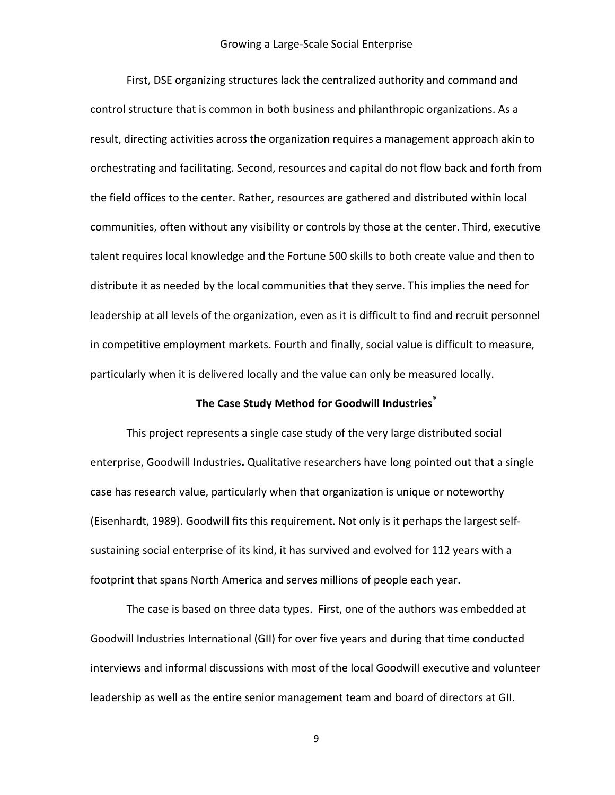## Growing a Large-Scale Social Enterprise

First, DSE organizing structures lack the centralized authority and command and control structure that is common in both business and philanthropic organizations. As a result, directing activities across the organization requires a management approach akin to orchestrating and facilitating. Second, resources and capital do not flow back and forth from the field offices to the center. Rather, resources are gathered and distributed within local communities, often without any visibility or controls by those at the center. Third, executive talent requires local knowledge and the Fortune 500 skills to both create value and then to distribute it as needed by the local communities that they serve. This implies the need for leadership at all levels of the organization, even as it is difficult to find and recruit personnel in competitive employment markets. Fourth and finally, social value is difficult to measure, particularly when it is delivered locally and the value can only be measured locally.

## **The Case Study Method for Goodwill Industries**®

This project represents a single case study of the very large distributed social enterprise, Goodwill Industries. Qualitative researchers have long pointed out that a single case has research value, particularly when that organization is unique or noteworthy (Eisenhardt, 1989). Goodwill fits this requirement. Not only is it perhaps the largest selfsustaining social enterprise of its kind, it has survived and evolved for 112 years with a footprint that spans North America and serves millions of people each year.

The case is based on three data types. First, one of the authors was embedded at Goodwill Industries International (GII) for over five years and during that time conducted interviews and informal discussions with most of the local Goodwill executive and volunteer leadership as well as the entire senior management team and board of directors at GII.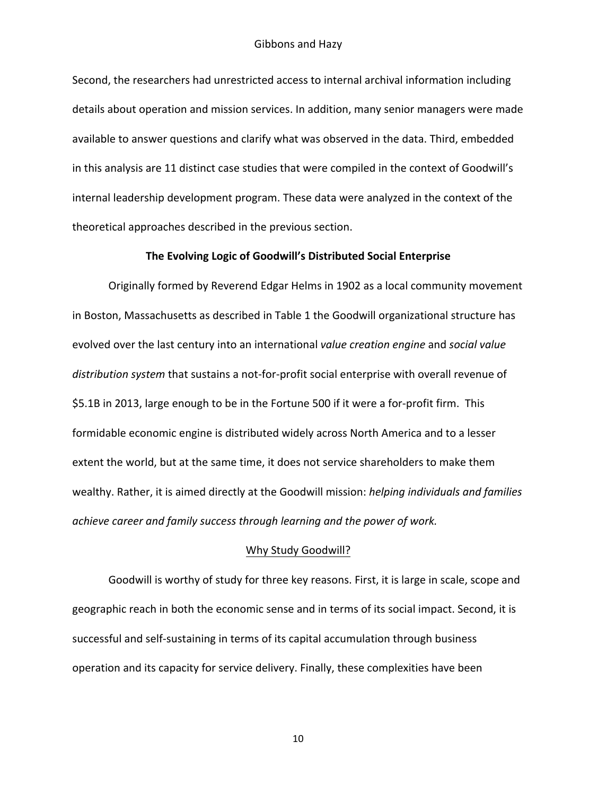Second, the researchers had unrestricted access to internal archival information including details about operation and mission services. In addition, many senior managers were made available to answer questions and clarify what was observed in the data. Third, embedded in this analysis are 11 distinct case studies that were compiled in the context of Goodwill's internal leadership development program. These data were analyzed in the context of the theoretical approaches described in the previous section.

#### **The Evolving Logic of Goodwill's Distributed Social Enterprise**

Originally formed by Reverend Edgar Helms in 1902 as a local community movement in Boston, Massachusetts as described in Table 1 the Goodwill organizational structure has evolved over the last century into an international *value creation engine* and *social value distribution system* that sustains a not-for-profit social enterprise with overall revenue of \$5.1B in 2013, large enough to be in the Fortune 500 if it were a for-profit firm. This formidable economic engine is distributed widely across North America and to a lesser extent the world, but at the same time, it does not service shareholders to make them wealthy. Rather, it is aimed directly at the Goodwill mission: *helping individuals and families* achieve career and family success through learning and the power of work.

#### Why Study Goodwill?

Goodwill is worthy of study for three key reasons. First, it is large in scale, scope and geographic reach in both the economic sense and in terms of its social impact. Second, it is successful and self-sustaining in terms of its capital accumulation through business operation and its capacity for service delivery. Finally, these complexities have been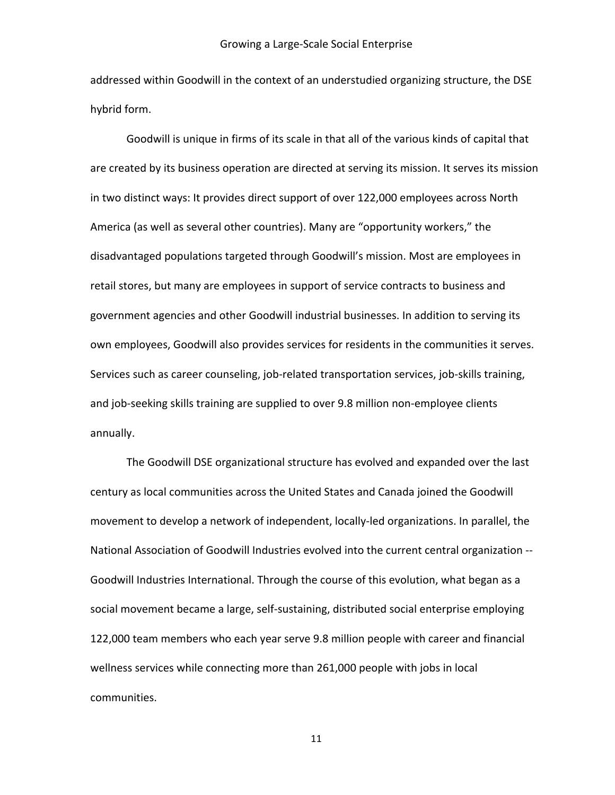addressed within Goodwill in the context of an understudied organizing structure, the DSE hybrid form.

Goodwill is unique in firms of its scale in that all of the various kinds of capital that are created by its business operation are directed at serving its mission. It serves its mission in two distinct ways: It provides direct support of over 122,000 employees across North America (as well as several other countries). Many are "opportunity workers," the disadvantaged populations targeted through Goodwill's mission. Most are employees in retail stores, but many are employees in support of service contracts to business and government agencies and other Goodwill industrial businesses. In addition to serving its own employees, Goodwill also provides services for residents in the communities it serves. Services such as career counseling, job-related transportation services, job-skills training, and job-seeking skills training are supplied to over 9.8 million non-employee clients annually. 

The Goodwill DSE organizational structure has evolved and expanded over the last century as local communities across the United States and Canada joined the Goodwill movement to develop a network of independent, locally-led organizations. In parallel, the National Association of Goodwill Industries evolved into the current central organization --Goodwill Industries International. Through the course of this evolution, what began as a social movement became a large, self-sustaining, distributed social enterprise employing 122,000 team members who each year serve 9.8 million people with career and financial wellness services while connecting more than 261,000 people with jobs in local communities.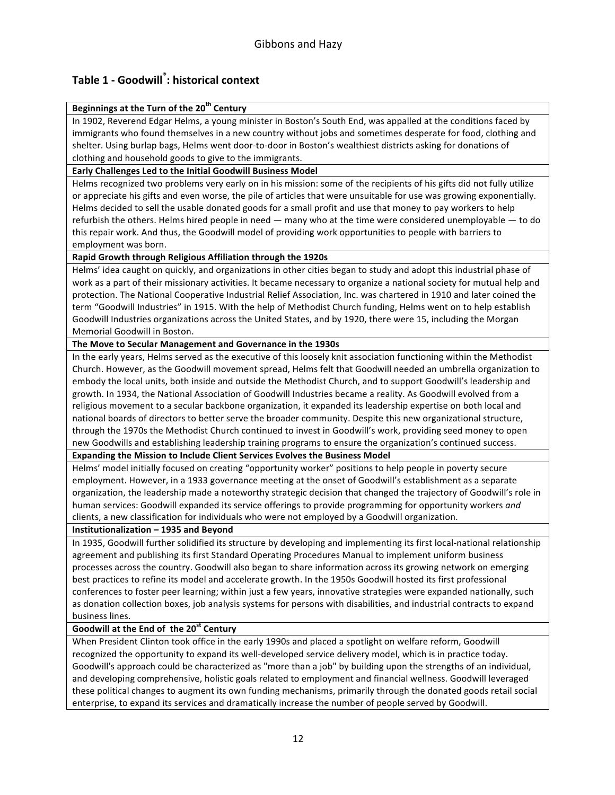## **Table 1 - Goodwill® : historical context**

## **Beginnings at the Turn of the 20<sup>th</sup> Century**

In 1902, Reverend Edgar Helms, a young minister in Boston's South End, was appalled at the conditions faced by immigrants who found themselves in a new country without jobs and sometimes desperate for food, clothing and shelter. Using burlap bags, Helms went door-to-door in Boston's wealthiest districts asking for donations of clothing and household goods to give to the immigrants.

## Early Challenges Led to the Initial Goodwill Business Model

Helms recognized two problems very early on in his mission: some of the recipients of his gifts did not fully utilize or appreciate his gifts and even worse, the pile of articles that were unsuitable for use was growing exponentially. Helms decided to sell the usable donated goods for a small profit and use that money to pay workers to help refurbish the others. Helms hired people in need  $-$  many who at the time were considered unemployable  $-$  to do this repair work. And thus, the Goodwill model of providing work opportunities to people with barriers to employment was born.

### **Rapid Growth through Religious Affiliation through the 1920s**

Helms' idea caught on quickly, and organizations in other cities began to study and adopt this industrial phase of work as a part of their missionary activities. It became necessary to organize a national society for mutual help and protection. The National Cooperative Industrial Relief Association, Inc. was chartered in 1910 and later coined the term "Goodwill Industries" in 1915. With the help of Methodist Church funding, Helms went on to help establish Goodwill Industries organizations across the United States, and by 1920, there were 15, including the Morgan Memorial Goodwill in Boston.

### The Move to Secular Management and Governance in the 1930s

In the early years, Helms served as the executive of this loosely knit association functioning within the Methodist Church. However, as the Goodwill movement spread, Helms felt that Goodwill needed an umbrella organization to embody the local units, both inside and outside the Methodist Church, and to support Goodwill's leadership and growth. In 1934, the National Association of Goodwill Industries became a reality. As Goodwill evolved from a religious movement to a secular backbone organization, it expanded its leadership expertise on both local and national boards of directors to better serve the broader community. Despite this new organizational structure, through the 1970s the Methodist Church continued to invest in Goodwill's work, providing seed money to open new Goodwills and establishing leadership training programs to ensure the organization's continued success.

#### **Expanding the Mission to Include Client Services Evolves the Business Model**

Helms' model initially focused on creating "opportunity worker" positions to help people in poverty secure employment. However, in a 1933 governance meeting at the onset of Goodwill's establishment as a separate organization, the leadership made a noteworthy strategic decision that changed the trajectory of Goodwill's role in human services: Goodwill expanded its service offerings to provide programming for opportunity workers *and* clients, a new classification for individuals who were not employed by a Goodwill organization.

#### **Institutionalization - 1935 and Beyond**

In 1935, Goodwill further solidified its structure by developing and implementing its first local-national relationship agreement and publishing its first Standard Operating Procedures Manual to implement uniform business processes across the country. Goodwill also began to share information across its growing network on emerging best practices to refine its model and accelerate growth. In the 1950s Goodwill hosted its first professional conferences to foster peer learning; within just a few years, innovative strategies were expanded nationally, such as donation collection boxes, job analysis systems for persons with disabilities, and industrial contracts to expand business lines.

## **Goodwill at the End of the 20st Century**

When President Clinton took office in the early 1990s and placed a spotlight on welfare reform, Goodwill recognized the opportunity to expand its well-developed service delivery model, which is in practice today. Goodwill's approach could be characterized as "more than a job" by building upon the strengths of an individual, and developing comprehensive, holistic goals related to employment and financial wellness. Goodwill leveraged these political changes to augment its own funding mechanisms, primarily through the donated goods retail social enterprise, to expand its services and dramatically increase the number of people served by Goodwill.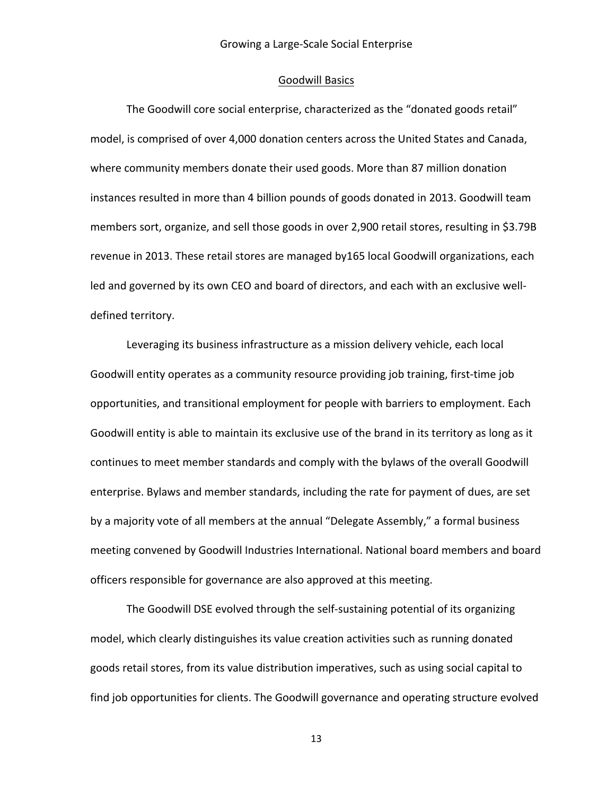#### Goodwill Basics

The Goodwill core social enterprise, characterized as the "donated goods retail" model, is comprised of over 4,000 donation centers across the United States and Canada, where community members donate their used goods. More than 87 million donation instances resulted in more than 4 billion pounds of goods donated in 2013. Goodwill team members sort, organize, and sell those goods in over 2,900 retail stores, resulting in \$3.79B revenue in 2013. These retail stores are managed by165 local Goodwill organizations, each led and governed by its own CEO and board of directors, and each with an exclusive welldefined territory.

Leveraging its business infrastructure as a mission delivery vehicle, each local Goodwill entity operates as a community resource providing job training, first-time job opportunities, and transitional employment for people with barriers to employment. Each Goodwill entity is able to maintain its exclusive use of the brand in its territory as long as it continues to meet member standards and comply with the bylaws of the overall Goodwill enterprise. Bylaws and member standards, including the rate for payment of dues, are set by a majority vote of all members at the annual "Delegate Assembly," a formal business meeting convened by Goodwill Industries International. National board members and board officers responsible for governance are also approved at this meeting.

The Goodwill DSE evolved through the self-sustaining potential of its organizing model, which clearly distinguishes its value creation activities such as running donated goods retail stores, from its value distribution imperatives, such as using social capital to find job opportunities for clients. The Goodwill governance and operating structure evolved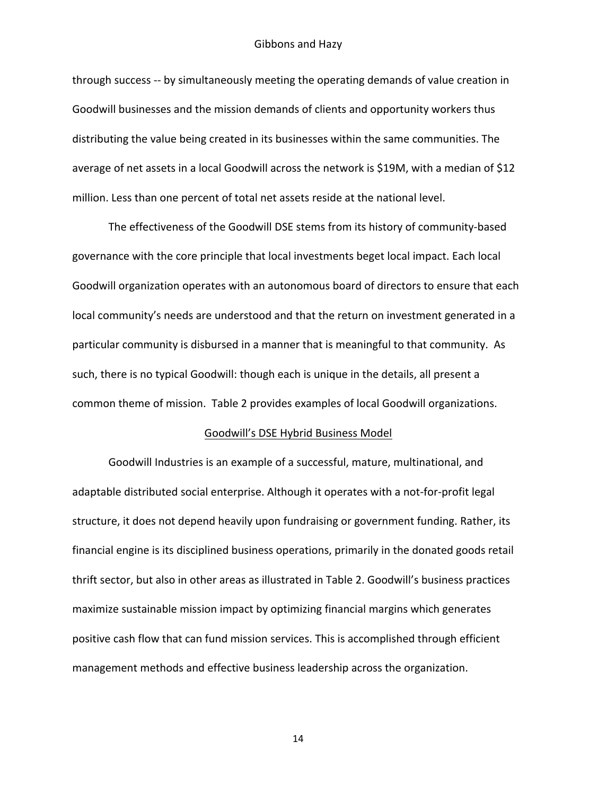#### Gibbons and Hazy

through success -- by simultaneously meeting the operating demands of value creation in Goodwill businesses and the mission demands of clients and opportunity workers thus distributing the value being created in its businesses within the same communities. The average of net assets in a local Goodwill across the network is \$19M, with a median of \$12 million. Less than one percent of total net assets reside at the national level.

The effectiveness of the Goodwill DSE stems from its history of community-based governance with the core principle that local investments beget local impact. Each local Goodwill organization operates with an autonomous board of directors to ensure that each local community's needs are understood and that the return on investment generated in a particular community is disbursed in a manner that is meaningful to that community. As such, there is no typical Goodwill: though each is unique in the details, all present a common theme of mission. Table 2 provides examples of local Goodwill organizations.

#### Goodwill's DSE Hybrid Business Model

Goodwill Industries is an example of a successful, mature, multinational, and adaptable distributed social enterprise. Although it operates with a not-for-profit legal structure, it does not depend heavily upon fundraising or government funding. Rather, its financial engine is its disciplined business operations, primarily in the donated goods retail thrift sector, but also in other areas as illustrated in Table 2. Goodwill's business practices maximize sustainable mission impact by optimizing financial margins which generates positive cash flow that can fund mission services. This is accomplished through efficient management methods and effective business leadership across the organization.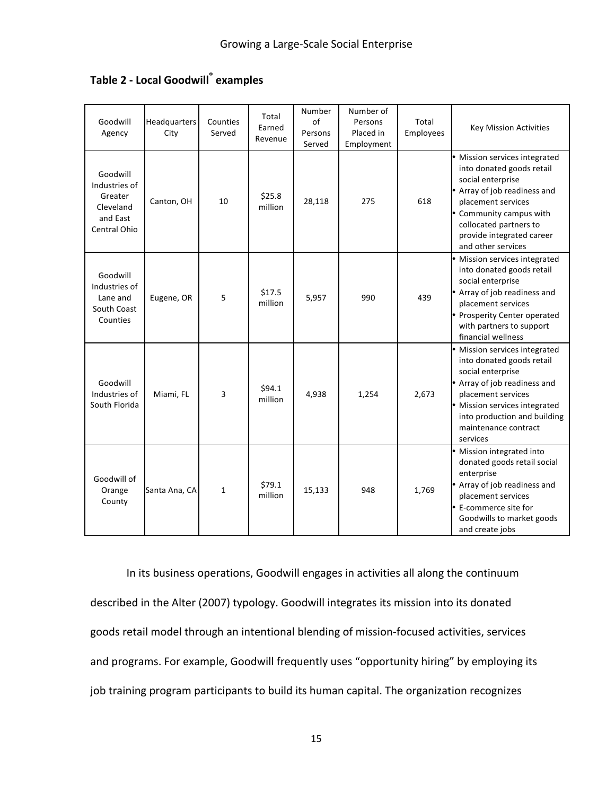| Goodwill<br>Agency                                                            | Headquarters<br>City | Counties<br>Served | Total<br>Earned<br>Revenue | Number<br>οf<br>Persons<br>Served | Number of<br>Persons<br>Placed in<br>Employment | Total<br>Employees | <b>Key Mission Activities</b>                                                                                                                                                                                                             |
|-------------------------------------------------------------------------------|----------------------|--------------------|----------------------------|-----------------------------------|-------------------------------------------------|--------------------|-------------------------------------------------------------------------------------------------------------------------------------------------------------------------------------------------------------------------------------------|
| Goodwill<br>Industries of<br>Greater<br>Cleveland<br>and East<br>Central Ohio | Canton, OH           | 10                 | \$25.8<br>million          | 28,118                            | 275                                             | 618                | Mission services integrated<br>into donated goods retail<br>social enterprise<br>• Array of job readiness and<br>placement services<br>Community campus with<br>collocated partners to<br>provide integrated career<br>and other services |
| Goodwill<br>Industries of<br>Lane and<br>South Coast<br>Counties              | Eugene, OR           | 5                  | \$17.5<br>million          | 5,957                             | 990                                             | 439                | Mission services integrated<br>into donated goods retail<br>social enterprise<br>Array of job readiness and<br>placement services<br>Prosperity Center operated<br>with partners to support<br>financial wellness                         |
| Goodwill<br>Industries of<br>South Florida                                    | Miami, FL            | 3                  | \$94.1<br>million          | 4,938                             | 1,254                                           | 2,673              | Mission services integrated<br>into donated goods retail<br>social enterprise<br>Array of job readiness and<br>placement services<br>Mission services integrated<br>into production and building<br>maintenance contract<br>services      |
| Goodwill of<br>Orange<br>County                                               | Santa Ana, CA        | $\mathbf{1}$       | \$79.1<br>million          | 15,133                            | 948                                             | 1,769              | Mission integrated into<br>donated goods retail social<br>enterprise<br>• Array of job readiness and<br>placement services<br>E-commerce site for<br>Goodwills to market goods<br>and create jobs                                         |

**Table 2 - Local Goodwill® examples** 

г

In its business operations, Goodwill engages in activities all along the continuum described in the Alter (2007) typology. Goodwill integrates its mission into its donated goods retail model through an intentional blending of mission-focused activities, services and programs. For example, Goodwill frequently uses "opportunity hiring" by employing its job training program participants to build its human capital. The organization recognizes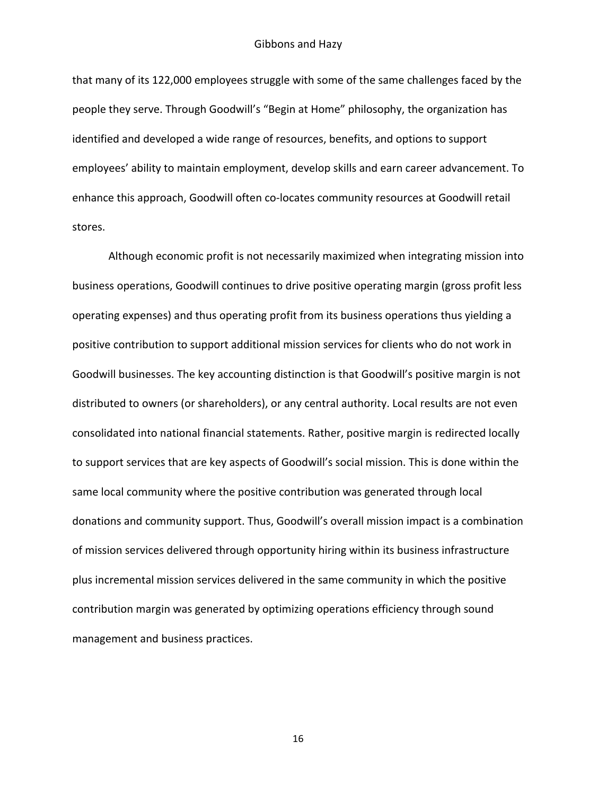that many of its 122,000 employees struggle with some of the same challenges faced by the people they serve. Through Goodwill's "Begin at Home" philosophy, the organization has identified and developed a wide range of resources, benefits, and options to support employees' ability to maintain employment, develop skills and earn career advancement. To enhance this approach, Goodwill often co-locates community resources at Goodwill retail stores. 

Although economic profit is not necessarily maximized when integrating mission into business operations, Goodwill continues to drive positive operating margin (gross profit less operating expenses) and thus operating profit from its business operations thus yielding a positive contribution to support additional mission services for clients who do not work in Goodwill businesses. The key accounting distinction is that Goodwill's positive margin is not distributed to owners (or shareholders), or any central authority. Local results are not even consolidated into national financial statements. Rather, positive margin is redirected locally to support services that are key aspects of Goodwill's social mission. This is done within the same local community where the positive contribution was generated through local donations and community support. Thus, Goodwill's overall mission impact is a combination of mission services delivered through opportunity hiring within its business infrastructure plus incremental mission services delivered in the same community in which the positive contribution margin was generated by optimizing operations efficiency through sound management and business practices.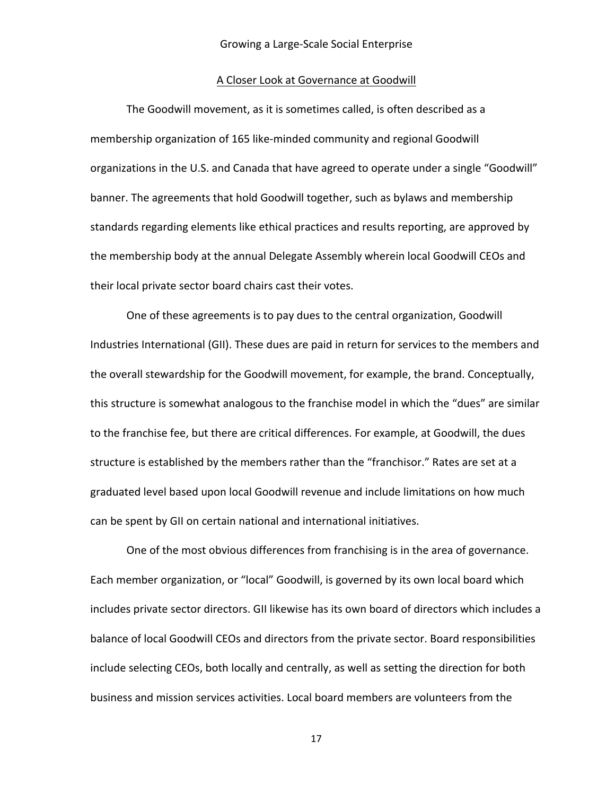## Growing a Large-Scale Social Enterprise

## A Closer Look at Governance at Goodwill

The Goodwill movement, as it is sometimes called, is often described as a membership organization of 165 like-minded community and regional Goodwill organizations in the U.S. and Canada that have agreed to operate under a single "Goodwill" banner. The agreements that hold Goodwill together, such as bylaws and membership standards regarding elements like ethical practices and results reporting, are approved by the membership body at the annual Delegate Assembly wherein local Goodwill CEOs and their local private sector board chairs cast their votes.

One of these agreements is to pay dues to the central organization, Goodwill Industries International (GII). These dues are paid in return for services to the members and the overall stewardship for the Goodwill movement, for example, the brand. Conceptually, this structure is somewhat analogous to the franchise model in which the "dues" are similar to the franchise fee, but there are critical differences. For example, at Goodwill, the dues structure is established by the members rather than the "franchisor." Rates are set at a graduated level based upon local Goodwill revenue and include limitations on how much can be spent by GII on certain national and international initiatives.

One of the most obvious differences from franchising is in the area of governance. Each member organization, or "local" Goodwill, is governed by its own local board which includes private sector directors. GII likewise has its own board of directors which includes a balance of local Goodwill CEOs and directors from the private sector. Board responsibilities include selecting CEOs, both locally and centrally, as well as setting the direction for both business and mission services activities. Local board members are volunteers from the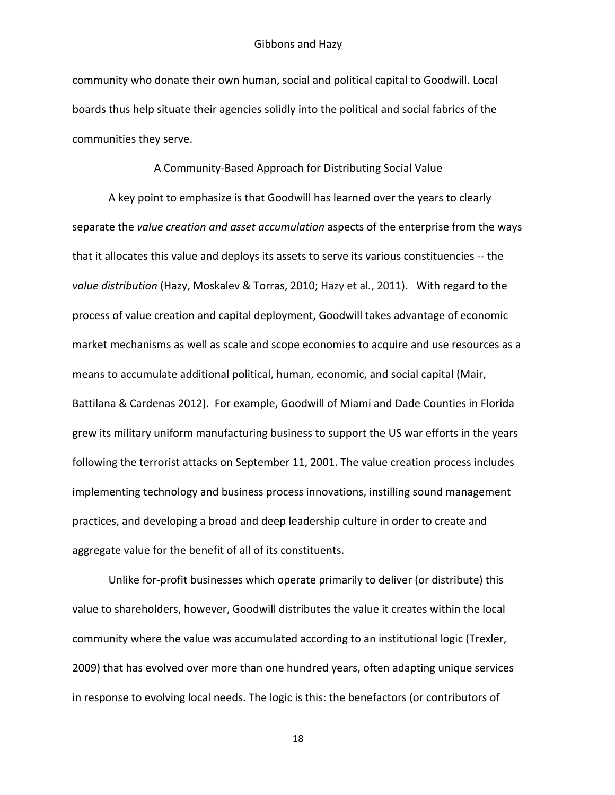community who donate their own human, social and political capital to Goodwill. Local boards thus help situate their agencies solidly into the political and social fabrics of the communities they serve.

#### A Community-Based Approach for Distributing Social Value

A key point to emphasize is that Goodwill has learned over the years to clearly separate the *value creation and asset accumulation* aspects of the enterprise from the ways that it allocates this value and deploys its assets to serve its various constituencies -- the *value distribution* (Hazy, Moskalev & Torras, 2010; Hazy et al., 2011). With regard to the process of value creation and capital deployment, Goodwill takes advantage of economic market mechanisms as well as scale and scope economies to acquire and use resources as a means to accumulate additional political, human, economic, and social capital (Mair, Battilana & Cardenas 2012). For example, Goodwill of Miami and Dade Counties in Florida grew its military uniform manufacturing business to support the US war efforts in the years following the terrorist attacks on September 11, 2001. The value creation process includes implementing technology and business process innovations, instilling sound management practices, and developing a broad and deep leadership culture in order to create and aggregate value for the benefit of all of its constituents.

Unlike for-profit businesses which operate primarily to deliver (or distribute) this value to shareholders, however, Goodwill distributes the value it creates within the local community where the value was accumulated according to an institutional logic (Trexler, 2009) that has evolved over more than one hundred years, often adapting unique services in response to evolving local needs. The logic is this: the benefactors (or contributors of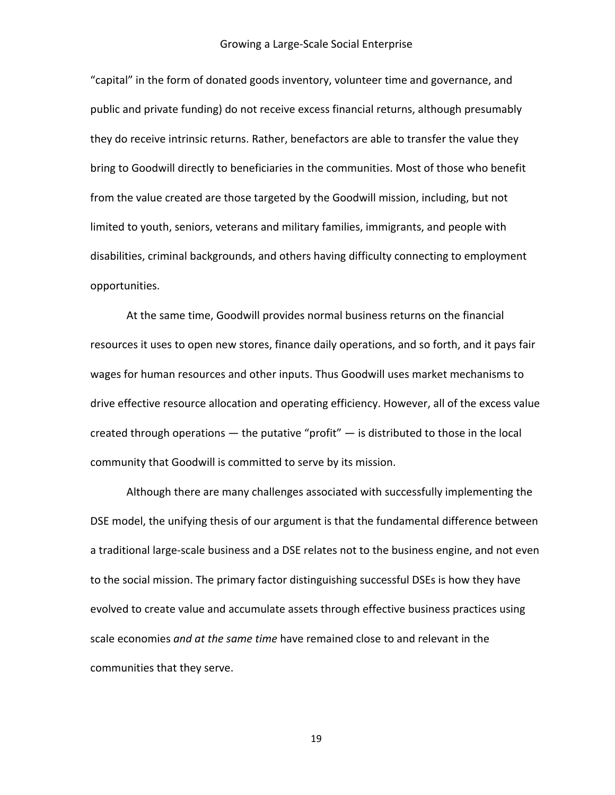## Growing a Large-Scale Social Enterprise

"capital" in the form of donated goods inventory, volunteer time and governance, and public and private funding) do not receive excess financial returns, although presumably they do receive intrinsic returns. Rather, benefactors are able to transfer the value they bring to Goodwill directly to beneficiaries in the communities. Most of those who benefit from the value created are those targeted by the Goodwill mission, including, but not limited to youth, seniors, veterans and military families, immigrants, and people with disabilities, criminal backgrounds, and others having difficulty connecting to employment opportunities.

At the same time, Goodwill provides normal business returns on the financial resources it uses to open new stores, finance daily operations, and so forth, and it pays fair wages for human resources and other inputs. Thus Goodwill uses market mechanisms to drive effective resource allocation and operating efficiency. However, all of the excess value created through operations  $-$  the putative "profit"  $-$  is distributed to those in the local community that Goodwill is committed to serve by its mission.

Although there are many challenges associated with successfully implementing the DSE model, the unifying thesis of our argument is that the fundamental difference between a traditional large-scale business and a DSE relates not to the business engine, and not even to the social mission. The primary factor distinguishing successful DSEs is how they have evolved to create value and accumulate assets through effective business practices using scale economies *and at the same time* have remained close to and relevant in the communities that they serve.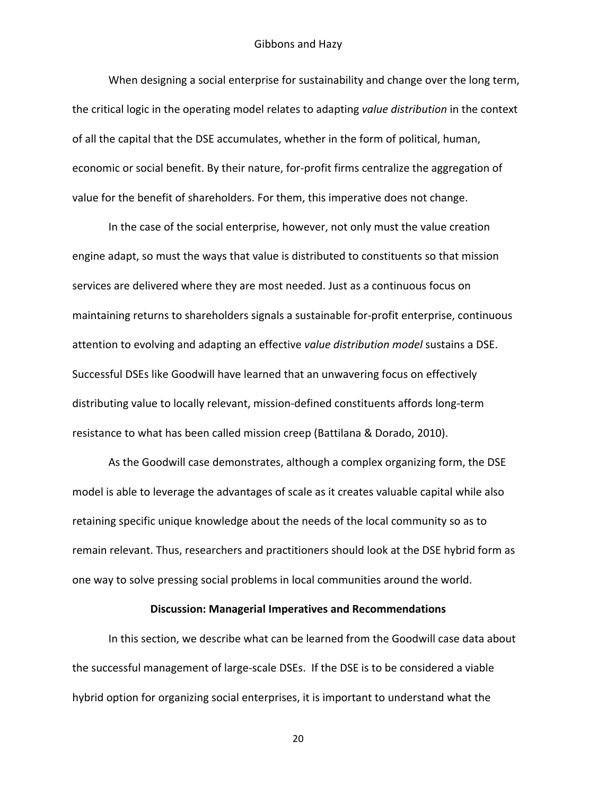#### Gibbons and Hazy

When designing a social enterprise for sustainability and change over the long term, the critical logic in the operating model relates to adapting *value distribution* in the context of all the capital that the DSE accumulates, whether in the form of political, human, economic or social benefit. By their nature, for-profit firms centralize the aggregation of value for the benefit of shareholders. For them, this imperative does not change.

In the case of the social enterprise, however, not only must the value creation engine adapt, so must the ways that value is distributed to constituents so that mission services are delivered where they are most needed. Just as a continuous focus on maintaining returns to shareholders signals a sustainable for-profit enterprise, continuous attention to evolving and adapting an effective value distribution model sustains a DSE. Successful DSEs like Goodwill have learned that an unwavering focus on effectively distributing value to locally relevant, mission-defined constituents affords long-term resistance to what has been called mission creep (Battilana & Dorado, 2010).

As the Goodwill case demonstrates, although a complex organizing form, the DSE model is able to leverage the advantages of scale as it creates valuable capital while also retaining specific unique knowledge about the needs of the local community so as to remain relevant. Thus, researchers and practitioners should look at the DSE hybrid form as one way to solve pressing social problems in local communities around the world.

#### **Discussion: Managerial Imperatives and Recommendations**

In this section, we describe what can be learned from the Goodwill case data about the successful management of large-scale DSEs. If the DSE is to be considered a viable hybrid option for organizing social enterprises, it is important to understand what the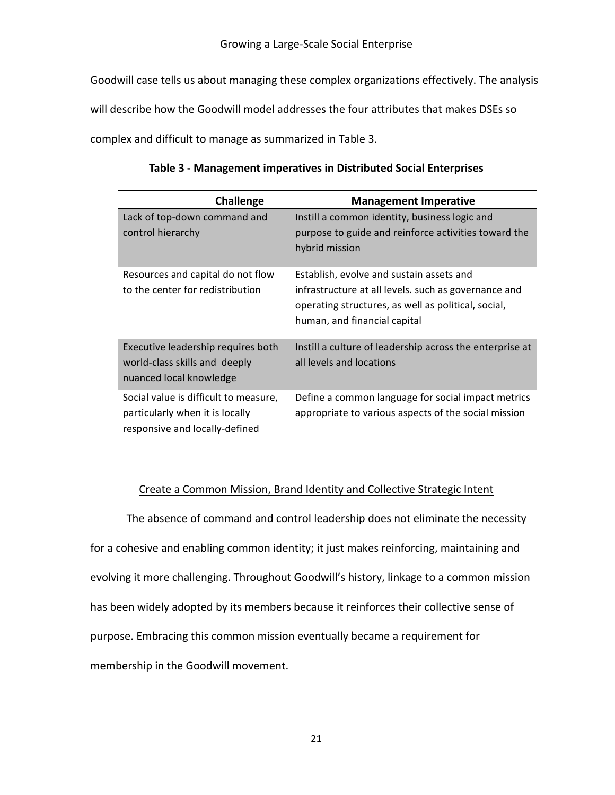Goodwill case tells us about managing these complex organizations effectively. The analysis

will describe how the Goodwill model addresses the four attributes that makes DSEs so

complex and difficult to manage as summarized in Table 3.

| Challenge                                                                                                  | <b>Management Imperative</b>                                                                                                                                                            |
|------------------------------------------------------------------------------------------------------------|-----------------------------------------------------------------------------------------------------------------------------------------------------------------------------------------|
| Lack of top-down command and<br>control hierarchy                                                          | Instill a common identity, business logic and<br>purpose to guide and reinforce activities toward the<br>hybrid mission                                                                 |
| Resources and capital do not flow<br>to the center for redistribution                                      | Establish, evolve and sustain assets and<br>infrastructure at all levels. such as governance and<br>operating structures, as well as political, social,<br>human, and financial capital |
| Executive leadership requires both<br>world-class skills and deeply<br>nuanced local knowledge             | Instill a culture of leadership across the enterprise at<br>all levels and locations                                                                                                    |
| Social value is difficult to measure,<br>particularly when it is locally<br>responsive and locally-defined | Define a common language for social impact metrics<br>appropriate to various aspects of the social mission                                                                              |

## **Table 3 - Management imperatives in Distributed Social Enterprises**

## Create a Common Mission, Brand Identity and Collective Strategic Intent

The absence of command and control leadership does not eliminate the necessity for a cohesive and enabling common identity; it just makes reinforcing, maintaining and evolving it more challenging. Throughout Goodwill's history, linkage to a common mission has been widely adopted by its members because it reinforces their collective sense of purpose. Embracing this common mission eventually became a requirement for membership in the Goodwill movement.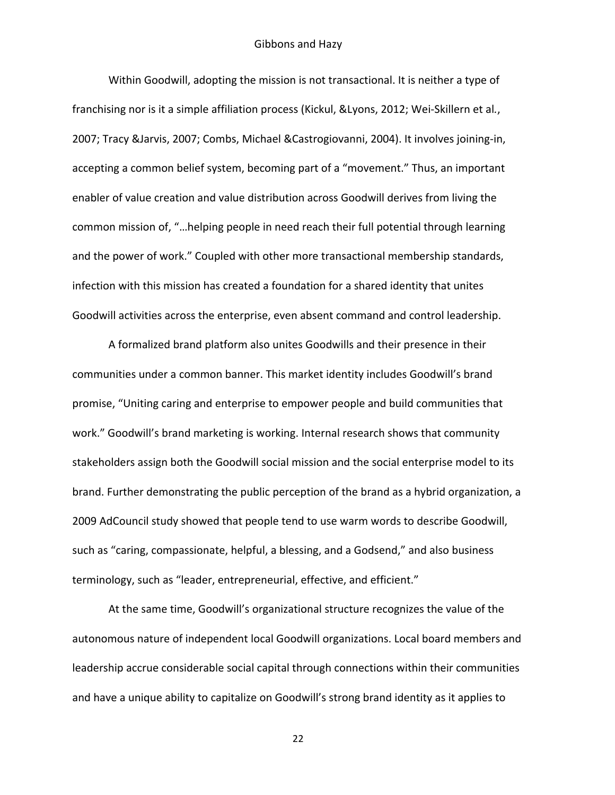#### Gibbons and Hazy

Within Goodwill, adopting the mission is not transactional. It is neither a type of franchising nor is it a simple affiliation process (Kickul, &Lyons, 2012; Wei-Skillern et al., 2007; Tracy &Jarvis, 2007; Combs, Michael &Castrogiovanni, 2004). It involves joining-in, accepting a common belief system, becoming part of a "movement." Thus, an important enabler of value creation and value distribution across Goodwill derives from living the common mission of, "...helping people in need reach their full potential through learning and the power of work." Coupled with other more transactional membership standards, infection with this mission has created a foundation for a shared identity that unites Goodwill activities across the enterprise, even absent command and control leadership.

A formalized brand platform also unites Goodwills and their presence in their communities under a common banner. This market identity includes Goodwill's brand promise, "Uniting caring and enterprise to empower people and build communities that work." Goodwill's brand marketing is working. Internal research shows that community stakeholders assign both the Goodwill social mission and the social enterprise model to its brand. Further demonstrating the public perception of the brand as a hybrid organization, a 2009 AdCouncil study showed that people tend to use warm words to describe Goodwill, such as "caring, compassionate, helpful, a blessing, and a Godsend," and also business terminology, such as "leader, entrepreneurial, effective, and efficient."

At the same time, Goodwill's organizational structure recognizes the value of the autonomous nature of independent local Goodwill organizations. Local board members and leadership accrue considerable social capital through connections within their communities and have a unique ability to capitalize on Goodwill's strong brand identity as it applies to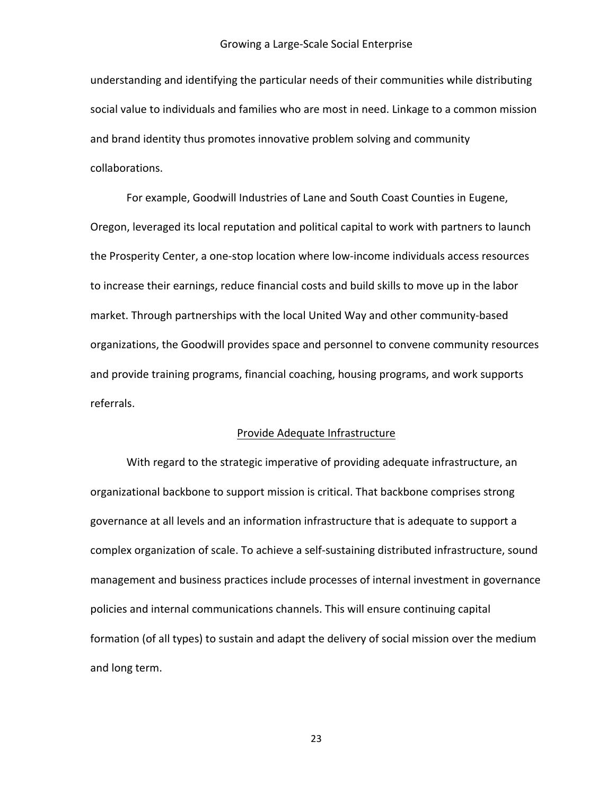understanding and identifying the particular needs of their communities while distributing social value to individuals and families who are most in need. Linkage to a common mission and brand identity thus promotes innovative problem solving and community collaborations. 

For example, Goodwill Industries of Lane and South Coast Counties in Eugene, Oregon, leveraged its local reputation and political capital to work with partners to launch the Prosperity Center, a one-stop location where low-income individuals access resources to increase their earnings, reduce financial costs and build skills to move up in the labor market. Through partnerships with the local United Way and other community-based organizations, the Goodwill provides space and personnel to convene community resources and provide training programs, financial coaching, housing programs, and work supports referrals. 

#### Provide Adequate Infrastructure

With regard to the strategic imperative of providing adequate infrastructure, an organizational backbone to support mission is critical. That backbone comprises strong governance at all levels and an information infrastructure that is adequate to support a complex organization of scale. To achieve a self-sustaining distributed infrastructure, sound management and business practices include processes of internal investment in governance policies and internal communications channels. This will ensure continuing capital formation (of all types) to sustain and adapt the delivery of social mission over the medium and long term.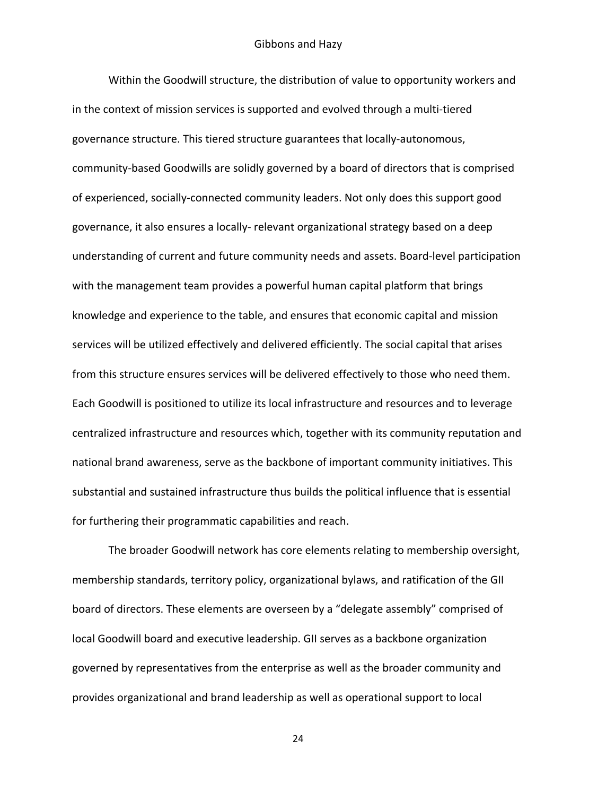### Gibbons and Hazy

Within the Goodwill structure, the distribution of value to opportunity workers and in the context of mission services is supported and evolved through a multi-tiered governance structure. This tiered structure guarantees that locally-autonomous, community-based Goodwills are solidly governed by a board of directors that is comprised of experienced, socially-connected community leaders. Not only does this support good governance, it also ensures a locally- relevant organizational strategy based on a deep understanding of current and future community needs and assets. Board-level participation with the management team provides a powerful human capital platform that brings knowledge and experience to the table, and ensures that economic capital and mission services will be utilized effectively and delivered efficiently. The social capital that arises from this structure ensures services will be delivered effectively to those who need them. Each Goodwill is positioned to utilize its local infrastructure and resources and to leverage centralized infrastructure and resources which, together with its community reputation and national brand awareness, serve as the backbone of important community initiatives. This substantial and sustained infrastructure thus builds the political influence that is essential for furthering their programmatic capabilities and reach.

The broader Goodwill network has core elements relating to membership oversight, membership standards, territory policy, organizational bylaws, and ratification of the GII board of directors. These elements are overseen by a "delegate assembly" comprised of local Goodwill board and executive leadership. GII serves as a backbone organization governed by representatives from the enterprise as well as the broader community and provides organizational and brand leadership as well as operational support to local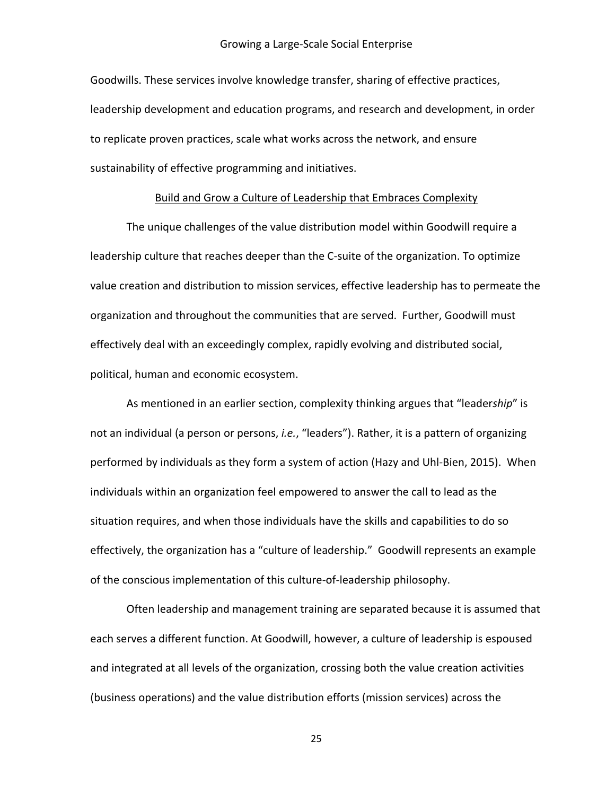Goodwills. These services involve knowledge transfer, sharing of effective practices, leadership development and education programs, and research and development, in order to replicate proven practices, scale what works across the network, and ensure sustainability of effective programming and initiatives.

#### Build and Grow a Culture of Leadership that Embraces Complexity

The unique challenges of the value distribution model within Goodwill require a leadership culture that reaches deeper than the C-suite of the organization. To optimize value creation and distribution to mission services, effective leadership has to permeate the organization and throughout the communities that are served. Further, Goodwill must effectively deal with an exceedingly complex, rapidly evolving and distributed social, political, human and economic ecosystem.

As mentioned in an earlier section, complexity thinking argues that "leadership" is not an individual (a person or persons, *i.e.*, "leaders"). Rather, it is a pattern of organizing performed by individuals as they form a system of action (Hazy and Uhl-Bien, 2015). When individuals within an organization feel empowered to answer the call to lead as the situation requires, and when those individuals have the skills and capabilities to do so effectively, the organization has a "culture of leadership." Goodwill represents an example of the conscious implementation of this culture-of-leadership philosophy.

Often leadership and management training are separated because it is assumed that each serves a different function. At Goodwill, however, a culture of leadership is espoused and integrated at all levels of the organization, crossing both the value creation activities (business operations) and the value distribution efforts (mission services) across the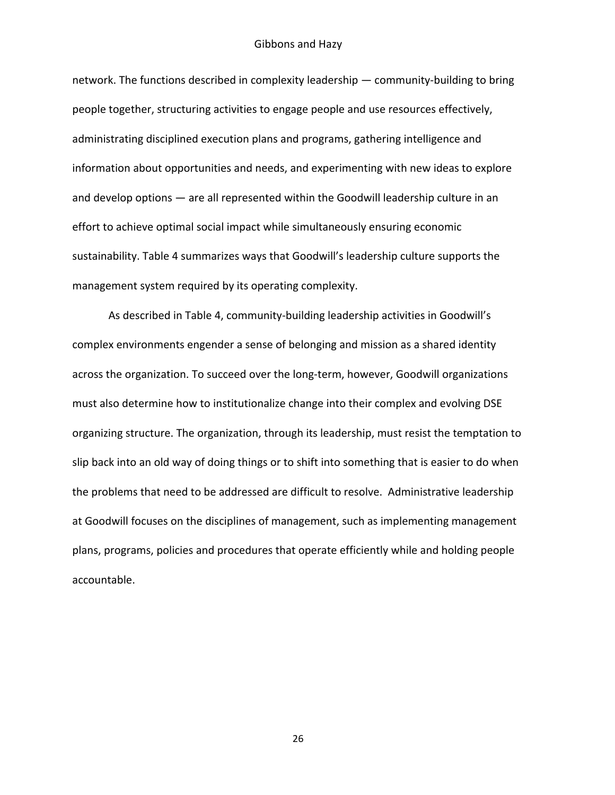#### Gibbons and Hazy

network. The functions described in complexity leadership  $-$  community-building to bring people together, structuring activities to engage people and use resources effectively, administrating disciplined execution plans and programs, gathering intelligence and information about opportunities and needs, and experimenting with new ideas to explore and develop options — are all represented within the Goodwill leadership culture in an effort to achieve optimal social impact while simultaneously ensuring economic sustainability. Table 4 summarizes ways that Goodwill's leadership culture supports the management system required by its operating complexity.

As described in Table 4, community-building leadership activities in Goodwill's complex environments engender a sense of belonging and mission as a shared identity across the organization. To succeed over the long-term, however, Goodwill organizations must also determine how to institutionalize change into their complex and evolving DSE organizing structure. The organization, through its leadership, must resist the temptation to slip back into an old way of doing things or to shift into something that is easier to do when the problems that need to be addressed are difficult to resolve. Administrative leadership at Goodwill focuses on the disciplines of management, such as implementing management plans, programs, policies and procedures that operate efficiently while and holding people accountable.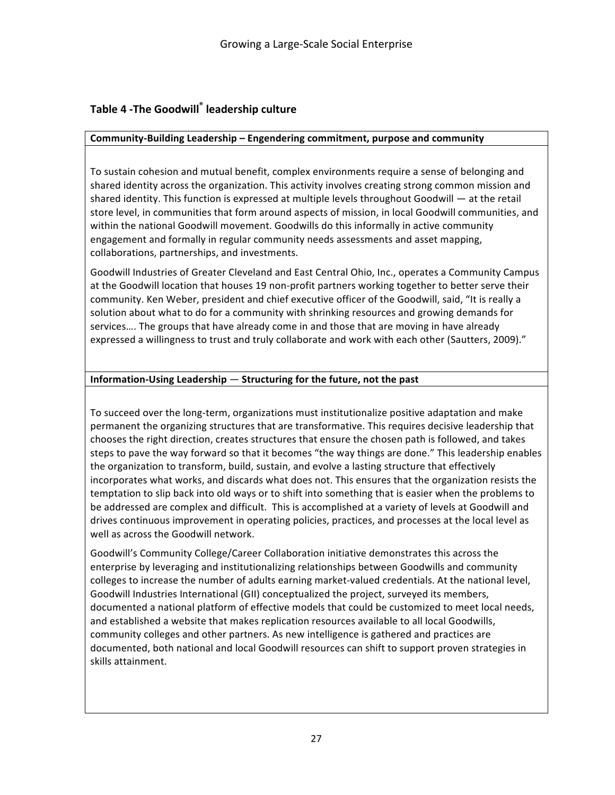## **Table 4 -The Goodwill® leadership culture**

## **Community-Building Leadership – Engendering commitment, purpose and community**

To sustain cohesion and mutual benefit, complex environments require a sense of belonging and shared identity across the organization. This activity involves creating strong common mission and shared identity. This function is expressed at multiple levels throughout Goodwill — at the retail store level, in communities that form around aspects of mission, in local Goodwill communities, and within the national Goodwill movement. Goodwills do this informally in active community engagement and formally in regular community needs assessments and asset mapping, collaborations, partnerships, and investments.

Goodwill Industries of Greater Cleveland and East Central Ohio, Inc., operates a Community Campus at the Goodwill location that houses 19 non-profit partners working together to better serve their community. Ken Weber, president and chief executive officer of the Goodwill, said, "It is really a solution about what to do for a community with shrinking resources and growing demands for services.... The groups that have already come in and those that are moving in have already expressed a willingness to trust and truly collaborate and work with each other (Sautters, 2009)."

## **Information-Using Leadership — Structuring for the future, not the past**

To succeed over the long-term, organizations must institutionalize positive adaptation and make permanent the organizing structures that are transformative. This requires decisive leadership that chooses the right direction, creates structures that ensure the chosen path is followed, and takes steps to pave the way forward so that it becomes "the way things are done." This leadership enables the organization to transform, build, sustain, and evolve a lasting structure that effectively incorporates what works, and discards what does not. This ensures that the organization resists the temptation to slip back into old ways or to shift into something that is easier when the problems to be addressed are complex and difficult. This is accomplished at a variety of levels at Goodwill and drives continuous improvement in operating policies, practices, and processes at the local level as well as across the Goodwill network.

Goodwill's Community College/Career Collaboration initiative demonstrates this across the enterprise by leveraging and institutionalizing relationships between Goodwills and community colleges to increase the number of adults earning market-valued credentials. At the national level, Goodwill Industries International (GII) conceptualized the project, surveyed its members, documented a national platform of effective models that could be customized to meet local needs, and established a website that makes replication resources available to all local Goodwills, community colleges and other partners. As new intelligence is gathered and practices are documented, both national and local Goodwill resources can shift to support proven strategies in skills attainment.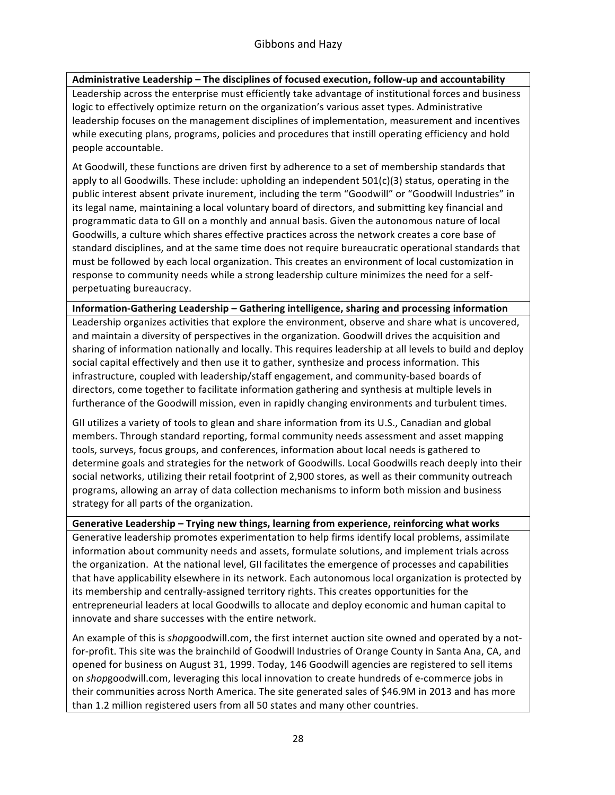## Administrative Leadership - The disciplines of focused execution, follow-up and accountability

Leadership across the enterprise must efficiently take advantage of institutional forces and business logic to effectively optimize return on the organization's various asset types. Administrative leadership focuses on the management disciplines of implementation, measurement and incentives while executing plans, programs, policies and procedures that instill operating efficiency and hold people accountable.

At Goodwill, these functions are driven first by adherence to a set of membership standards that apply to all Goodwills. These include: upholding an independent  $501(c)(3)$  status, operating in the public interest absent private inurement, including the term "Goodwill" or "Goodwill Industries" in its legal name, maintaining a local voluntary board of directors, and submitting key financial and programmatic data to GII on a monthly and annual basis. Given the autonomous nature of local Goodwills, a culture which shares effective practices across the network creates a core base of standard disciplines, and at the same time does not require bureaucratic operational standards that must be followed by each local organization. This creates an environment of local customization in response to community needs while a strong leadership culture minimizes the need for a selfperpetuating bureaucracy.

## **Information-Gathering Leadership – Gathering intelligence, sharing and processing information**

Leadership organizes activities that explore the environment, observe and share what is uncovered, and maintain a diversity of perspectives in the organization. Goodwill drives the acquisition and sharing of information nationally and locally. This requires leadership at all levels to build and deploy social capital effectively and then use it to gather, synthesize and process information. This infrastructure, coupled with leadership/staff engagement, and community-based boards of directors, come together to facilitate information gathering and synthesis at multiple levels in furtherance of the Goodwill mission, even in rapidly changing environments and turbulent times.

GII utilizes a variety of tools to glean and share information from its U.S., Canadian and global members. Through standard reporting, formal community needs assessment and asset mapping tools, surveys, focus groups, and conferences, information about local needs is gathered to determine goals and strategies for the network of Goodwills. Local Goodwills reach deeply into their social networks, utilizing their retail footprint of 2,900 stores, as well as their community outreach programs, allowing an array of data collection mechanisms to inform both mission and business strategy for all parts of the organization.

## Generative Leadership - Trying new things, learning from experience, reinforcing what works

Generative leadership promotes experimentation to help firms identify local problems, assimilate information about community needs and assets, formulate solutions, and implement trials across the organization. At the national level, GII facilitates the emergence of processes and capabilities that have applicability elsewhere in its network. Each autonomous local organization is protected by its membership and centrally-assigned territory rights. This creates opportunities for the entrepreneurial leaders at local Goodwills to allocate and deploy economic and human capital to innovate and share successes with the entire network.

An example of this is *shopgoodwill.com*, the first internet auction site owned and operated by a notfor-profit. This site was the brainchild of Goodwill Industries of Orange County in Santa Ana, CA, and opened for business on August 31, 1999. Today, 146 Goodwill agencies are registered to sell items on *shopgoodwill.com*, leveraging this local innovation to create hundreds of e-commerce jobs in their communities across North America. The site generated sales of \$46.9M in 2013 and has more than 1.2 million registered users from all 50 states and many other countries.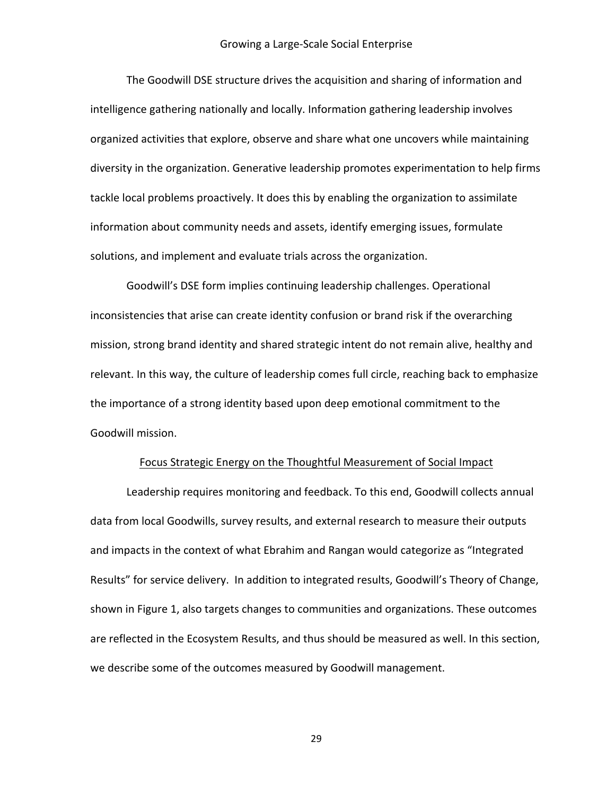## Growing a Large-Scale Social Enterprise

The Goodwill DSE structure drives the acquisition and sharing of information and intelligence gathering nationally and locally. Information gathering leadership involves organized activities that explore, observe and share what one uncovers while maintaining diversity in the organization. Generative leadership promotes experimentation to help firms tackle local problems proactively. It does this by enabling the organization to assimilate information about community needs and assets, identify emerging issues, formulate solutions, and implement and evaluate trials across the organization.

Goodwill's DSE form implies continuing leadership challenges. Operational inconsistencies that arise can create identity confusion or brand risk if the overarching mission, strong brand identity and shared strategic intent do not remain alive, healthy and relevant. In this way, the culture of leadership comes full circle, reaching back to emphasize the importance of a strong identity based upon deep emotional commitment to the Goodwill mission.

#### Focus Strategic Energy on the Thoughtful Measurement of Social Impact

Leadership requires monitoring and feedback. To this end, Goodwill collects annual data from local Goodwills, survey results, and external research to measure their outputs and impacts in the context of what Ebrahim and Rangan would categorize as "Integrated Results" for service delivery. In addition to integrated results, Goodwill's Theory of Change, shown in Figure 1, also targets changes to communities and organizations. These outcomes are reflected in the Ecosystem Results, and thus should be measured as well. In this section, we describe some of the outcomes measured by Goodwill management.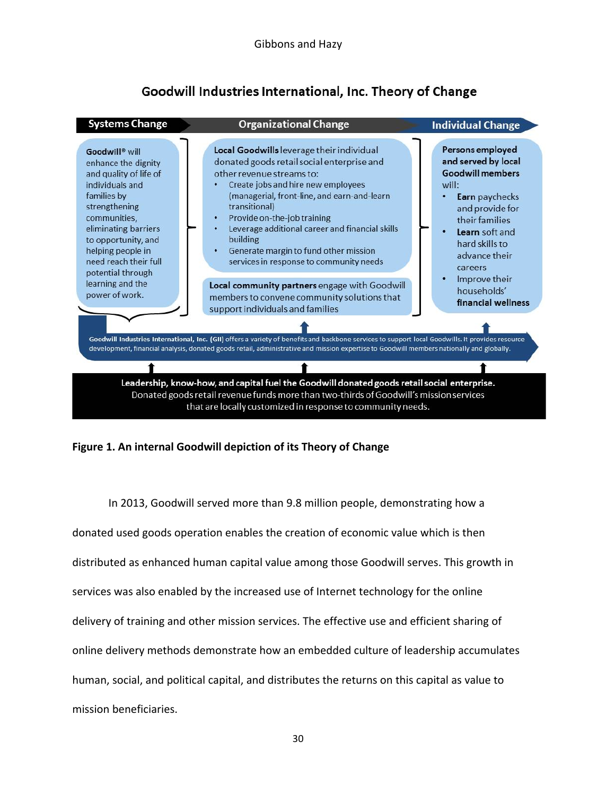

# Goodwill Industries International, Inc. Theory of Change

**Figure 1. An internal Goodwill depiction of its Theory of Change** 

In 2013, Goodwill served more than 9.8 million people, demonstrating how a donated used goods operation enables the creation of economic value which is then distributed as enhanced human capital value among those Goodwill serves. This growth in services was also enabled by the increased use of Internet technology for the online delivery of training and other mission services. The effective use and efficient sharing of online delivery methods demonstrate how an embedded culture of leadership accumulates human, social, and political capital, and distributes the returns on this capital as value to mission beneficiaries.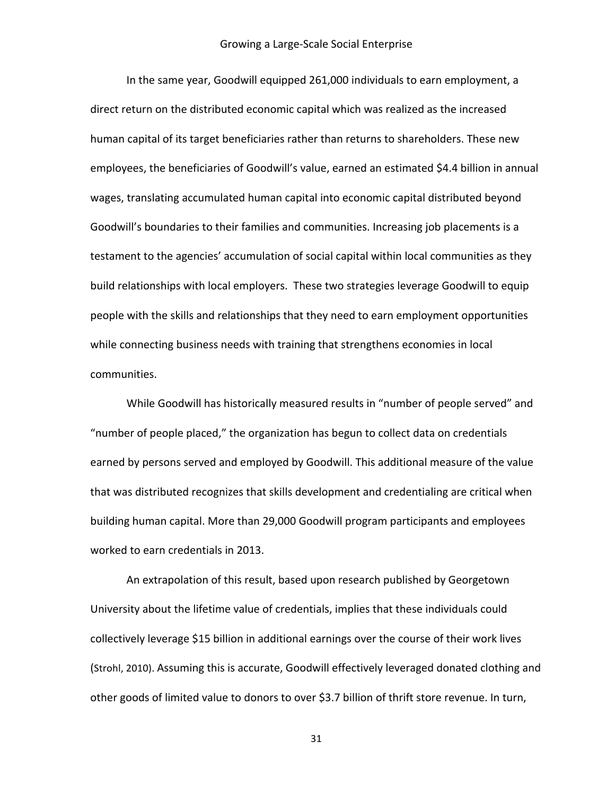## Growing a Large-Scale Social Enterprise

In the same year, Goodwill equipped 261,000 individuals to earn employment, a direct return on the distributed economic capital which was realized as the increased human capital of its target beneficiaries rather than returns to shareholders. These new employees, the beneficiaries of Goodwill's value, earned an estimated \$4.4 billion in annual wages, translating accumulated human capital into economic capital distributed beyond Goodwill's boundaries to their families and communities. Increasing job placements is a testament to the agencies' accumulation of social capital within local communities as they build relationships with local employers. These two strategies leverage Goodwill to equip people with the skills and relationships that they need to earn employment opportunities while connecting business needs with training that strengthens economies in local communities.

While Goodwill has historically measured results in "number of people served" and "number of people placed," the organization has begun to collect data on credentials earned by persons served and employed by Goodwill. This additional measure of the value that was distributed recognizes that skills development and credentialing are critical when building human capital. More than 29,000 Goodwill program participants and employees worked to earn credentials in 2013.

An extrapolation of this result, based upon research published by Georgetown University about the lifetime value of credentials, implies that these individuals could collectively leverage \$15 billion in additional earnings over the course of their work lives (Strohl, 2010). Assuming this is accurate, Goodwill effectively leveraged donated clothing and other goods of limited value to donors to over \$3.7 billion of thrift store revenue. In turn,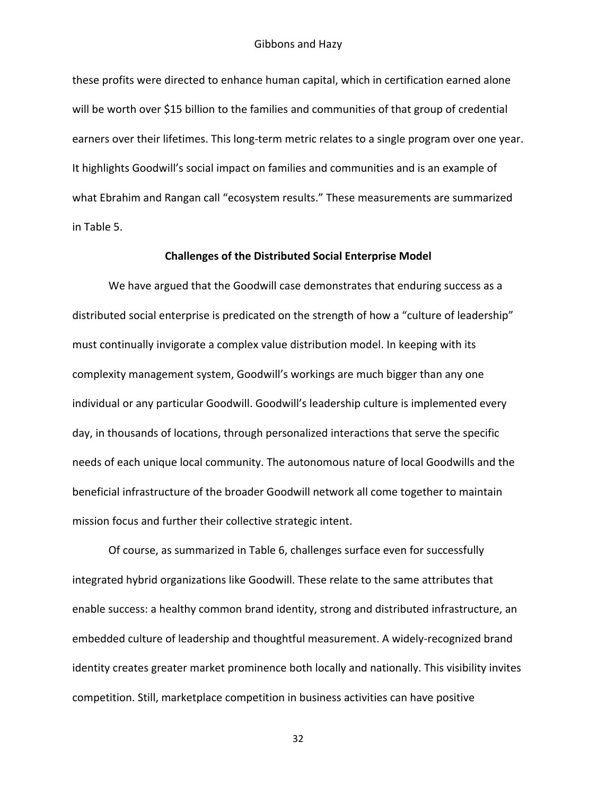these profits were directed to enhance human capital, which in certification earned alone will be worth over \$15 billion to the families and communities of that group of credential earners over their lifetimes. This long-term metric relates to a single program over one year. It highlights Goodwill's social impact on families and communities and is an example of what Ebrahim and Rangan call "ecosystem results." These measurements are summarized in Table 5.

## **Challenges of the Distributed Social Enterprise Model**

We have argued that the Goodwill case demonstrates that enduring success as a distributed social enterprise is predicated on the strength of how a "culture of leadership" must continually invigorate a complex value distribution model. In keeping with its complexity management system, Goodwill's workings are much bigger than any one individual or any particular Goodwill. Goodwill's leadership culture is implemented every day, in thousands of locations, through personalized interactions that serve the specific needs of each unique local community. The autonomous nature of local Goodwills and the beneficial infrastructure of the broader Goodwill network all come together to maintain mission focus and further their collective strategic intent.

Of course, as summarized in Table 6, challenges surface even for successfully integrated hybrid organizations like Goodwill. These relate to the same attributes that enable success: a healthy common brand identity, strong and distributed infrastructure, an embedded culture of leadership and thoughtful measurement. A widely-recognized brand identity creates greater market prominence both locally and nationally. This visibility invites competition. Still, marketplace competition in business activities can have positive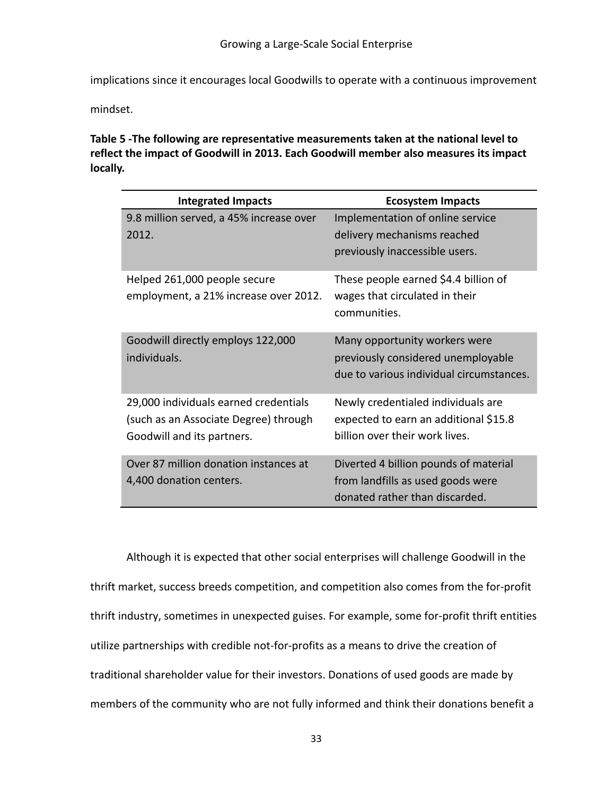implications since it encourages local Goodwills to operate with a continuous improvement

mindset. 

Table 5 -The following are representative measurements taken at the national level to reflect the impact of Goodwill in 2013. Each Goodwill member also measures its impact locally.

| <b>Integrated Impacts</b>                                                                                    | <b>Ecosystem Impacts</b>                                                                                        |
|--------------------------------------------------------------------------------------------------------------|-----------------------------------------------------------------------------------------------------------------|
| 9.8 million served, a 45% increase over<br>2012.                                                             | Implementation of online service<br>delivery mechanisms reached<br>previously inaccessible users.               |
| Helped 261,000 people secure<br>employment, a 21% increase over 2012.                                        | These people earned \$4.4 billion of<br>wages that circulated in their<br>communities.                          |
| Goodwill directly employs 122,000<br>individuals.                                                            | Many opportunity workers were<br>previously considered unemployable<br>due to various individual circumstances. |
| 29,000 individuals earned credentials<br>(such as an Associate Degree) through<br>Goodwill and its partners. | Newly credentialed individuals are<br>expected to earn an additional \$15.8<br>billion over their work lives.   |
| Over 87 million donation instances at<br>4,400 donation centers.                                             | Diverted 4 billion pounds of material<br>from landfills as used goods were<br>donated rather than discarded.    |

Although it is expected that other social enterprises will challenge Goodwill in the thrift market, success breeds competition, and competition also comes from the for-profit thrift industry, sometimes in unexpected guises. For example, some for-profit thrift entities utilize partnerships with credible not-for-profits as a means to drive the creation of traditional shareholder value for their investors. Donations of used goods are made by members of the community who are not fully informed and think their donations benefit a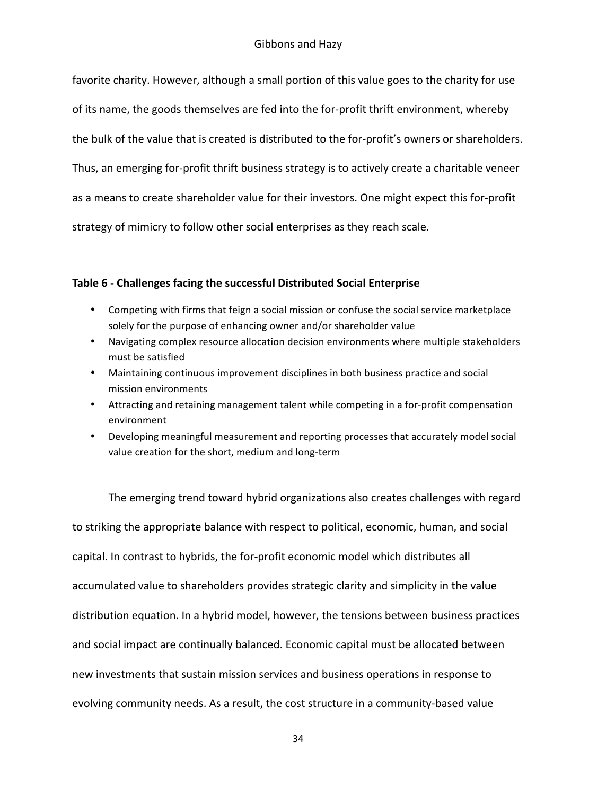favorite charity. However, although a small portion of this value goes to the charity for use of its name, the goods themselves are fed into the for-profit thrift environment, whereby the bulk of the value that is created is distributed to the for-profit's owners or shareholders. Thus, an emerging for-profit thrift business strategy is to actively create a charitable veneer as a means to create shareholder value for their investors. One might expect this for-profit strategy of mimicry to follow other social enterprises as they reach scale.

## **Table 6 - Challenges facing the successful Distributed Social Enterprise**

- Competing with firms that feign a social mission or confuse the social service marketplace solely for the purpose of enhancing owner and/or shareholder value
- Navigating complex resource allocation decision environments where multiple stakeholders must be satisfied
- Maintaining continuous improvement disciplines in both business practice and social mission environments
- Attracting and retaining management talent while competing in a for-profit compensation environment
- Developing meaningful measurement and reporting processes that accurately model social value creation for the short, medium and long-term

The emerging trend toward hybrid organizations also creates challenges with regard to striking the appropriate balance with respect to political, economic, human, and social capital. In contrast to hybrids, the for-profit economic model which distributes all accumulated value to shareholders provides strategic clarity and simplicity in the value distribution equation. In a hybrid model, however, the tensions between business practices and social impact are continually balanced. Economic capital must be allocated between new investments that sustain mission services and business operations in response to evolving community needs. As a result, the cost structure in a community-based value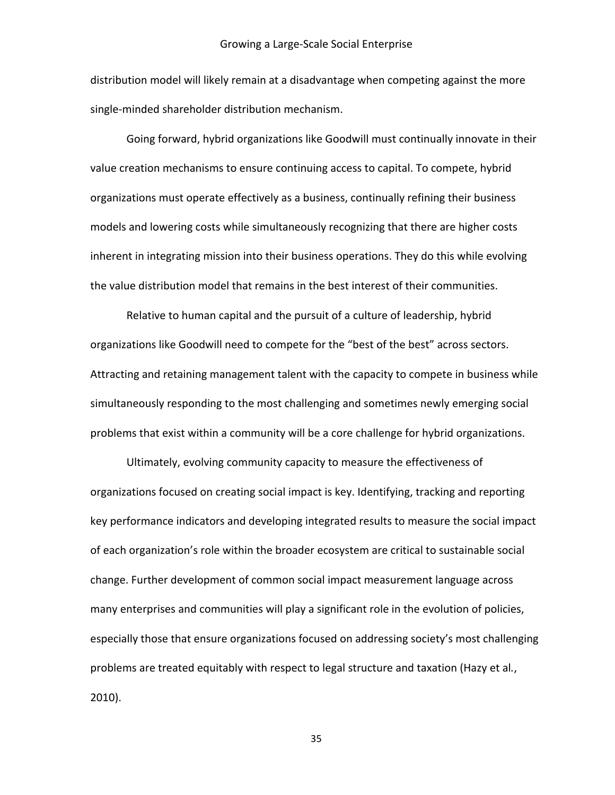distribution model will likely remain at a disadvantage when competing against the more single-minded shareholder distribution mechanism.

Going forward, hybrid organizations like Goodwill must continually innovate in their value creation mechanisms to ensure continuing access to capital. To compete, hybrid organizations must operate effectively as a business, continually refining their business models and lowering costs while simultaneously recognizing that there are higher costs inherent in integrating mission into their business operations. They do this while evolving the value distribution model that remains in the best interest of their communities.

Relative to human capital and the pursuit of a culture of leadership, hybrid organizations like Goodwill need to compete for the "best of the best" across sectors. Attracting and retaining management talent with the capacity to compete in business while simultaneously responding to the most challenging and sometimes newly emerging social problems that exist within a community will be a core challenge for hybrid organizations.

Ultimately, evolving community capacity to measure the effectiveness of organizations focused on creating social impact is key. Identifying, tracking and reporting key performance indicators and developing integrated results to measure the social impact of each organization's role within the broader ecosystem are critical to sustainable social change. Further development of common social impact measurement language across many enterprises and communities will play a significant role in the evolution of policies, especially those that ensure organizations focused on addressing society's most challenging problems are treated equitably with respect to legal structure and taxation (Hazy et al., 2010).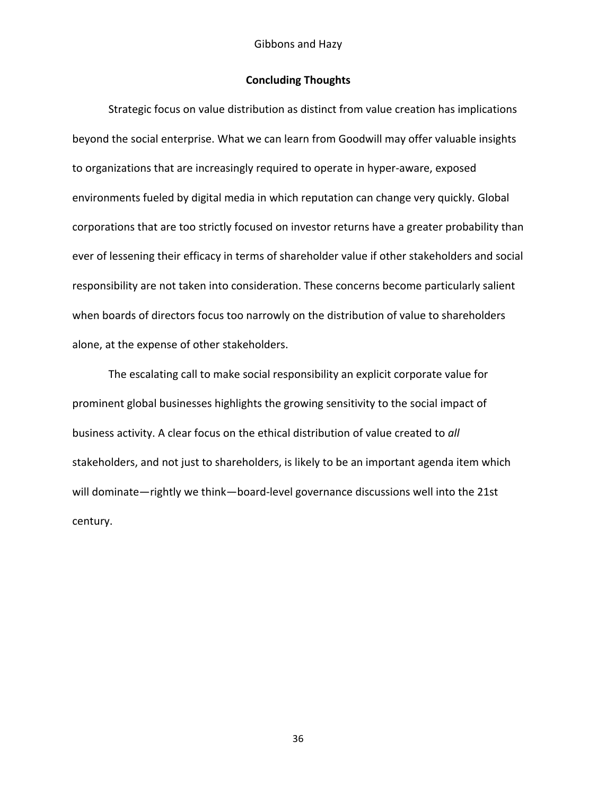## **Concluding Thoughts**

Strategic focus on value distribution as distinct from value creation has implications beyond the social enterprise. What we can learn from Goodwill may offer valuable insights to organizations that are increasingly required to operate in hyper-aware, exposed environments fueled by digital media in which reputation can change very quickly. Global corporations that are too strictly focused on investor returns have a greater probability than ever of lessening their efficacy in terms of shareholder value if other stakeholders and social responsibility are not taken into consideration. These concerns become particularly salient when boards of directors focus too narrowly on the distribution of value to shareholders alone, at the expense of other stakeholders.

The escalating call to make social responsibility an explicit corporate value for prominent global businesses highlights the growing sensitivity to the social impact of business activity. A clear focus on the ethical distribution of value created to all stakeholders, and not just to shareholders, is likely to be an important agenda item which will dominate—rightly we think—board-level governance discussions well into the 21st century.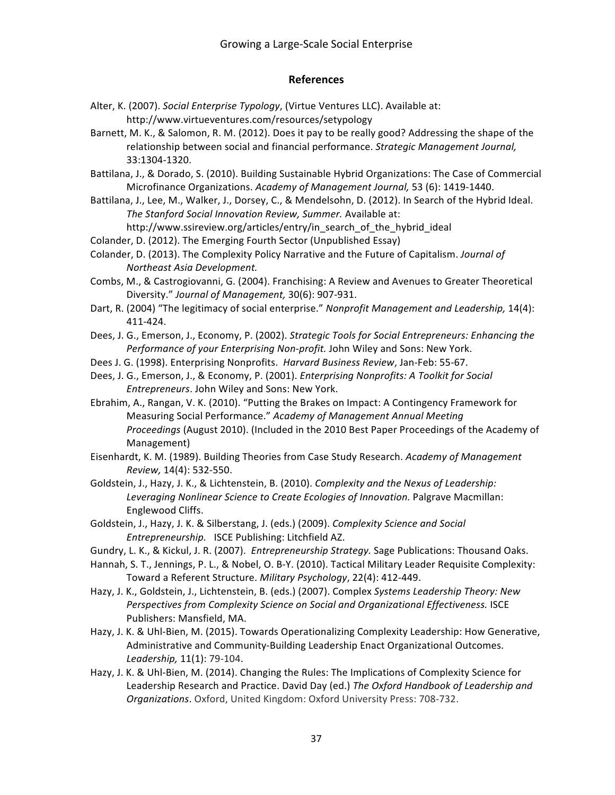## **References**

- Alter, K. (2007). *Social Enterprise Typology*, (Virtue Ventures LLC). Available at: http://www.virtueventures.com/resources/setypology
- Barnett, M. K., & Salomon, R. M. (2012). Does it pay to be really good? Addressing the shape of the relationship between social and financial performance. *Strategic Management Journal*, 33:1304-1320.

Battilana, J., & Dorado, S. (2010). Building Sustainable Hybrid Organizations: The Case of Commercial Microfinance Organizations. *Academy of Management Journal,* 53 (6): 1419-1440. 

Battilana, J., Lee, M., Walker, J., Dorsey, C., & Mendelsohn, D. (2012). In Search of the Hybrid Ideal. The Stanford Social Innovation Review, Summer. Available at:

http://www.ssireview.org/articles/entry/in\_search\_of\_the\_hybrid\_ideal

- Colander, D. (2012). The Emerging Fourth Sector (Unpublished Essay)
- Colander, D. (2013). The Complexity Policy Narrative and the Future of Capitalism. *Journal of Northeast Asia Development.*
- Combs, M., & Castrogiovanni, G. (2004). Franchising: A Review and Avenues to Greater Theoretical Diversity." *Journal of Management,* 30(6): 907-931.
- Dart, R. (2004) "The legitimacy of social enterprise." Nonprofit Management and Leadership, 14(4): 411-424.
- Dees, J. G., Emerson, J., Economy, P. (2002). *Strategic Tools for Social Entrepreneurs: Enhancing the* Performance of your Enterprising Non-profit. John Wiley and Sons: New York.
- Dees J. G. (1998). Enterprising Nonprofits. Harvard Business Review, Jan-Feb: 55-67.
- Dees, J. G., Emerson, J., & Economy, P. (2001). *Enterprising Nonprofits: A Toolkit for Social Entrepreneurs*. John Wiley and Sons: New York.
- Ebrahim, A., Rangan, V. K. (2010). "Putting the Brakes on Impact: A Contingency Framework for Measuring Social Performance." Academy of Management Annual Meeting Proceedings (August 2010). (Included in the 2010 Best Paper Proceedings of the Academy of Management)
- Eisenhardt, K. M. (1989). Building Theories from Case Study Research. Academy of Management *Review,* 14(4): 532-550.
- Goldstein, J., Hazy, J. K., & Lichtenstein, B. (2010). *Complexity and the Nexus of Leadership:* Leveraging Nonlinear Science to Create Ecologies of Innovation. Palgrave Macmillan: Englewood Cliffs.
- Goldstein, J., Hazy, J. K. & Silberstang, J. (eds.) (2009). *Complexity Science and Social Entrepreneurship.* ISCE Publishing: Litchfield AZ.
- Gundry, L. K., & Kickul, J. R. (2007). *Entrepreneurship Strategy*. Sage Publications: Thousand Oaks.
- Hannah, S. T., Jennings, P. L., & Nobel, O. B-Y. (2010). Tactical Military Leader Requisite Complexity: Toward a Referent Structure. Military Psychology, 22(4): 412-449.
- Hazy, J. K., Goldstein, J., Lichtenstein, B. (eds.) (2007). Complex Systems Leadership Theory: New Perspectives from Complexity Science on Social and Organizational Effectiveness. ISCE Publishers: Mansfield, MA.
- Hazy, J. K. & Uhl-Bien, M. (2015). Towards Operationalizing Complexity Leadership: How Generative, Administrative and Community-Building Leadership Enact Organizational Outcomes. *Leadership,* 11(1): 79-104.
- Hazy, J. K. & Uhl-Bien, M. (2014). Changing the Rules: The Implications of Complexity Science for Leadership Research and Practice. David Day (ed.) The Oxford Handbook of Leadership and **Organizations.** Oxford, United Kingdom: Oxford University Press: 708-732.